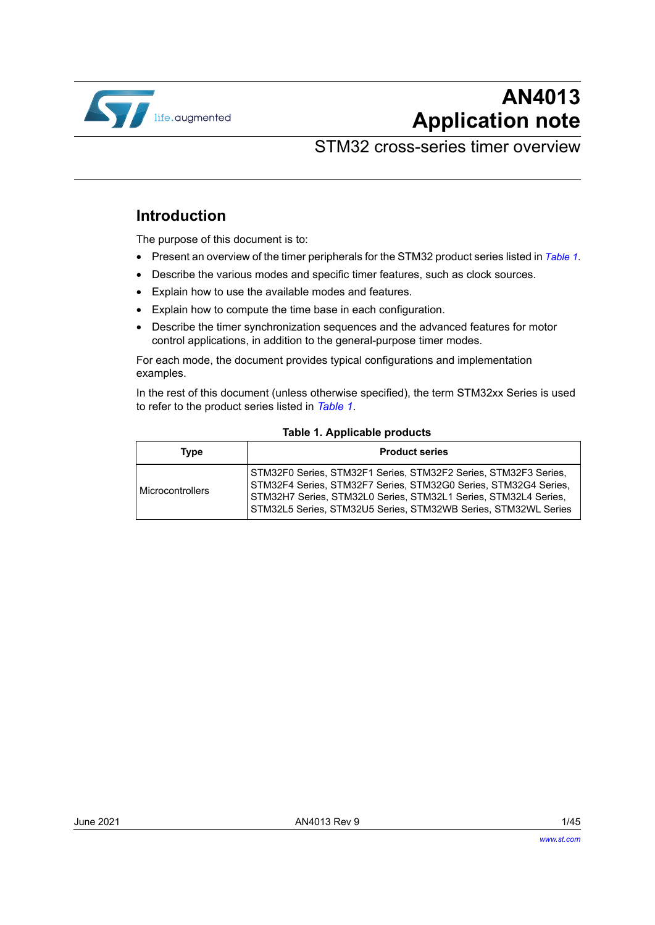

# **AN4013 Application note**

## STM32 cross-series timer overview

### **Introduction**

The purpose of this document is to:

- Present an overview of the timer peripherals for the STM32 product series listed in *[Table 1](#page-0-0)*.
- Describe the various modes and specific timer features, such as clock sources.
- Explain how to use the available modes and features.
- Explain how to compute the time base in each configuration.
- Describe the timer synchronization sequences and the advanced features for motor control applications, in addition to the general-purpose timer modes.

For each mode, the document provides typical configurations and implementation examples.

In the rest of this document (unless otherwise specified), the term STM32xx Series is used to refer to the product series listed in *[Table](#page-0-0) 1*.

<span id="page-0-0"></span>

| Type             | <b>Product series</b>                                                                                                                                                                                                                                                   |
|------------------|-------------------------------------------------------------------------------------------------------------------------------------------------------------------------------------------------------------------------------------------------------------------------|
| Microcontrollers | STM32F0 Series, STM32F1 Series, STM32F2 Series, STM32F3 Series,<br>STM32F4 Series, STM32F7 Series, STM32G0 Series, STM32G4 Series,<br>STM32H7 Series, STM32L0 Series, STM32L1 Series, STM32L4 Series,<br>STM32L5 Series, STM32U5 Series, STM32WB Series, STM32WL Series |

#### <span id="page-0-1"></span>**Table 1. Applicable products**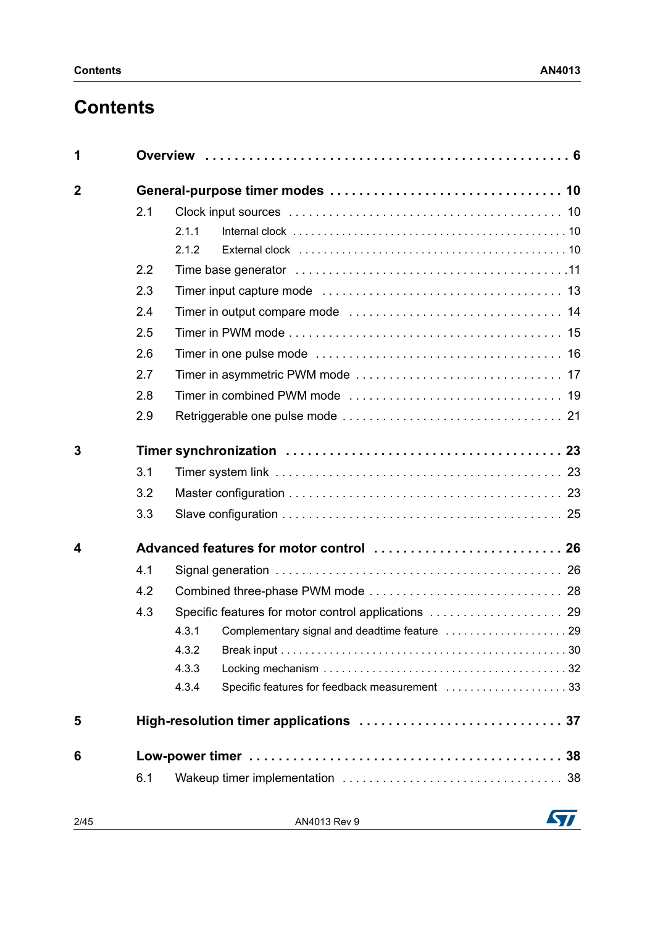# **Contents**

| 1              |     |                                                        |  |  |  |  |  |  |  |  |
|----------------|-----|--------------------------------------------------------|--|--|--|--|--|--|--|--|
| $\overline{2}$ |     |                                                        |  |  |  |  |  |  |  |  |
|                | 2.1 |                                                        |  |  |  |  |  |  |  |  |
|                |     | 2.1.1                                                  |  |  |  |  |  |  |  |  |
|                |     | 2.1.2                                                  |  |  |  |  |  |  |  |  |
|                | 2.2 |                                                        |  |  |  |  |  |  |  |  |
|                | 2.3 |                                                        |  |  |  |  |  |  |  |  |
|                | 2.4 |                                                        |  |  |  |  |  |  |  |  |
|                | 2.5 |                                                        |  |  |  |  |  |  |  |  |
|                | 2.6 |                                                        |  |  |  |  |  |  |  |  |
|                | 2.7 |                                                        |  |  |  |  |  |  |  |  |
|                | 2.8 |                                                        |  |  |  |  |  |  |  |  |
|                | 2.9 |                                                        |  |  |  |  |  |  |  |  |
| 3              |     |                                                        |  |  |  |  |  |  |  |  |
|                | 3.1 |                                                        |  |  |  |  |  |  |  |  |
|                | 3.2 |                                                        |  |  |  |  |  |  |  |  |
|                | 3.3 |                                                        |  |  |  |  |  |  |  |  |
| 4              |     |                                                        |  |  |  |  |  |  |  |  |
|                | 4.1 |                                                        |  |  |  |  |  |  |  |  |
|                | 4.2 |                                                        |  |  |  |  |  |  |  |  |
|                | 4.3 |                                                        |  |  |  |  |  |  |  |  |
|                |     | 4.3.1                                                  |  |  |  |  |  |  |  |  |
|                |     | 4.3.2                                                  |  |  |  |  |  |  |  |  |
|                |     | 4.3.3                                                  |  |  |  |  |  |  |  |  |
|                |     | Specific features for feedback measurement 33<br>4.3.4 |  |  |  |  |  |  |  |  |
| 5              |     |                                                        |  |  |  |  |  |  |  |  |
| 6              |     |                                                        |  |  |  |  |  |  |  |  |
|                | 6.1 |                                                        |  |  |  |  |  |  |  |  |
|                |     |                                                        |  |  |  |  |  |  |  |  |

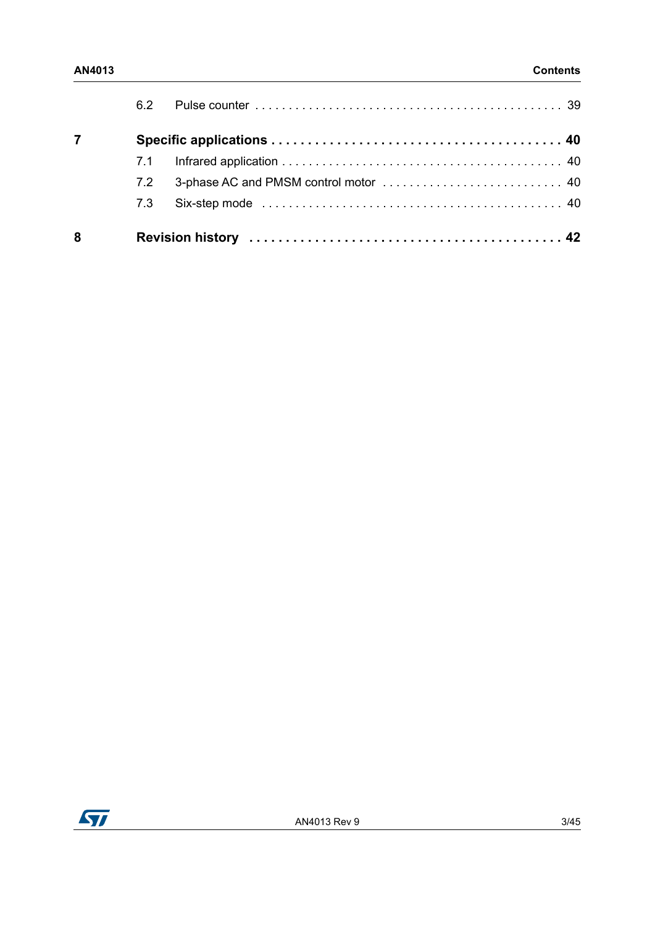|   | 62  |  |
|---|-----|--|
|   |     |  |
|   | 7.1 |  |
|   | 72  |  |
|   | 7.3 |  |
| 8 |     |  |

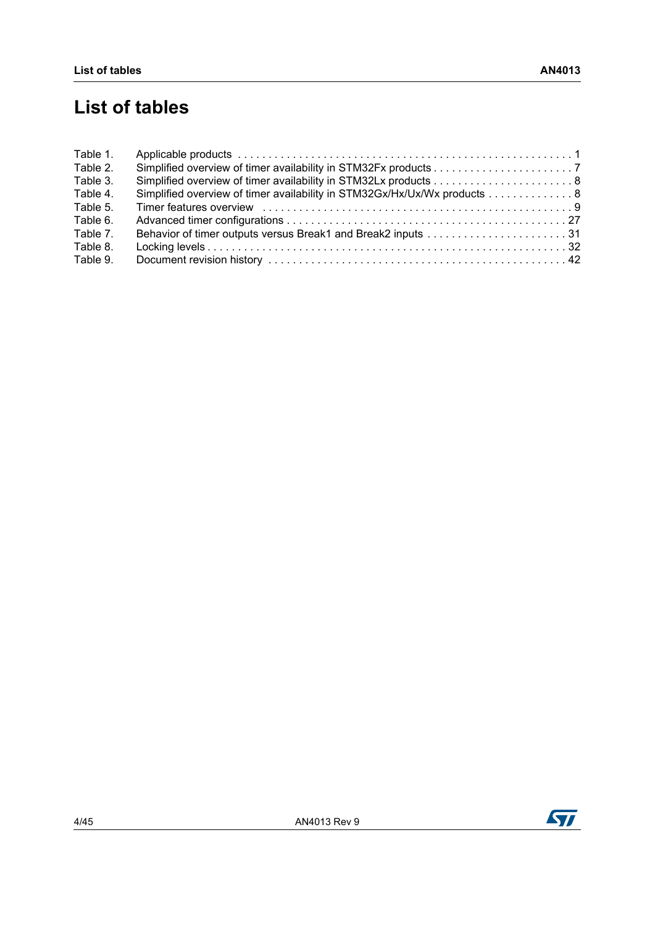# **List of tables**

| Table 1. |                                                                                  |
|----------|----------------------------------------------------------------------------------|
| Table 2. |                                                                                  |
| Table 3. |                                                                                  |
| Table 4. | Simplified overview of timer availability in STM32Gx/Hx/Ux/Wx products 8         |
| Table 5. | Timer features overview entertainment contains the contract of the contract of 9 |
| Table 6. |                                                                                  |
| Table 7. |                                                                                  |
| Table 8. |                                                                                  |
| Table 9. |                                                                                  |

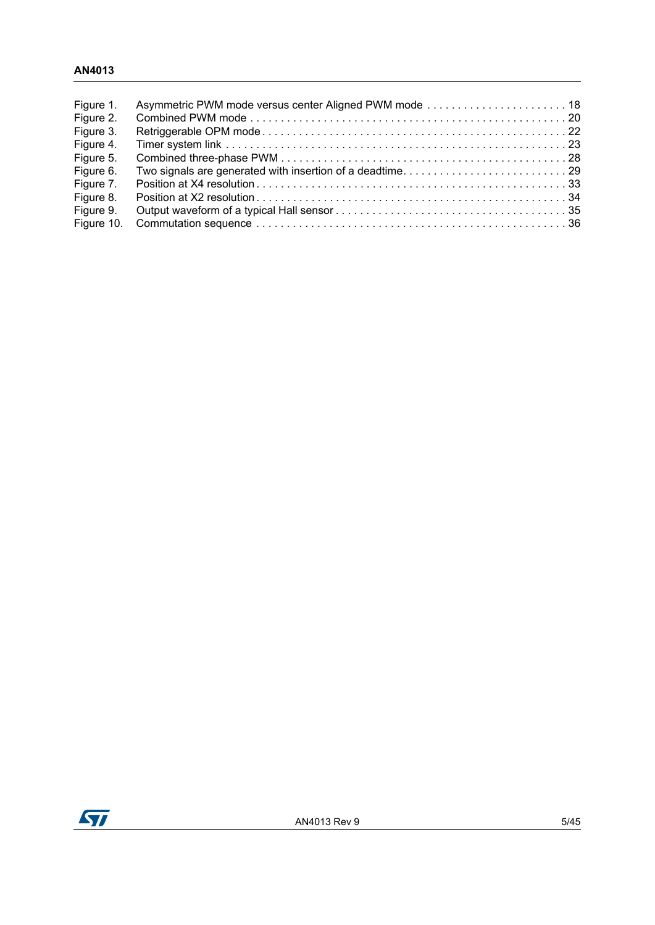### **AN4013**

| Figure 1.<br>Figure 2. |  |
|------------------------|--|
| Figure 3.              |  |
| Figure 4.              |  |
| Figure 5.              |  |
| Figure 6.              |  |
| Figure 7.              |  |
| Figure 8.              |  |
| Figure 9.              |  |
| Figure 10.             |  |

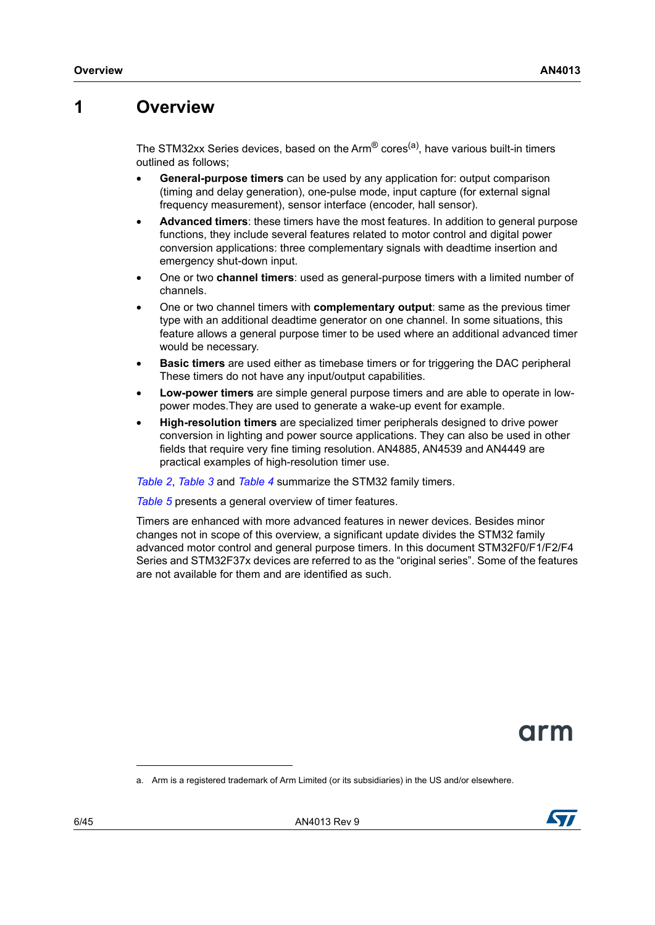## <span id="page-5-0"></span>**1 Overview**

The STM32xx Series devices, based on the Arm $^{\circledR}$  cores<sup>(a)</sup>, have various built-in timers outlined as follows;

- **General-purpose timers** can be used by any application for: output comparison (timing and delay generation), one-pulse mode, input capture (for external signal frequency measurement), sensor interface (encoder, hall sensor).
- **Advanced timers**: these timers have the most features. In addition to general purpose functions, they include several features related to motor control and digital power conversion applications: three complementary signals with deadtime insertion and emergency shut-down input.
- One or two **channel timers**: used as general-purpose timers with a limited number of channels.
- One or two channel timers with **complementary output**: same as the previous timer type with an additional deadtime generator on one channel. In some situations, this feature allows a general purpose timer to be used where an additional advanced timer would be necessary.
- **Basic timers** are used either as timebase timers or for triggering the DAC peripheral These timers do not have any input/output capabilities.
- **Low-power timers** are simple general purpose timers and are able to operate in lowpower modes.They are used to generate a wake-up event for example.
- **High-resolution timers** are specialized timer peripherals designed to drive power conversion in lighting and power source applications. They can also be used in other fields that require very fine timing resolution. AN4885, AN4539 and AN4449 are practical examples of high-resolution timer use.

*[Table](#page-6-0) 2*, *[Table](#page-7-0) 3* and *[Table](#page-7-1) 4* summarize the STM32 family timers.

*[Table](#page-8-0) 5* presents a general overview of timer features.

Timers are enhanced with more advanced features in newer devices. Besides minor changes not in scope of this overview, a significant update divides the STM32 family advanced motor control and general purpose timers. In this document STM32F0/F1/F2/F4 Series and STM32F37x devices are referred to as the "original series". Some of the features are not available for them and are identified as such.

arm



a. Arm is a registered trademark of Arm Limited (or its subsidiaries) in the US and/or elsewhere.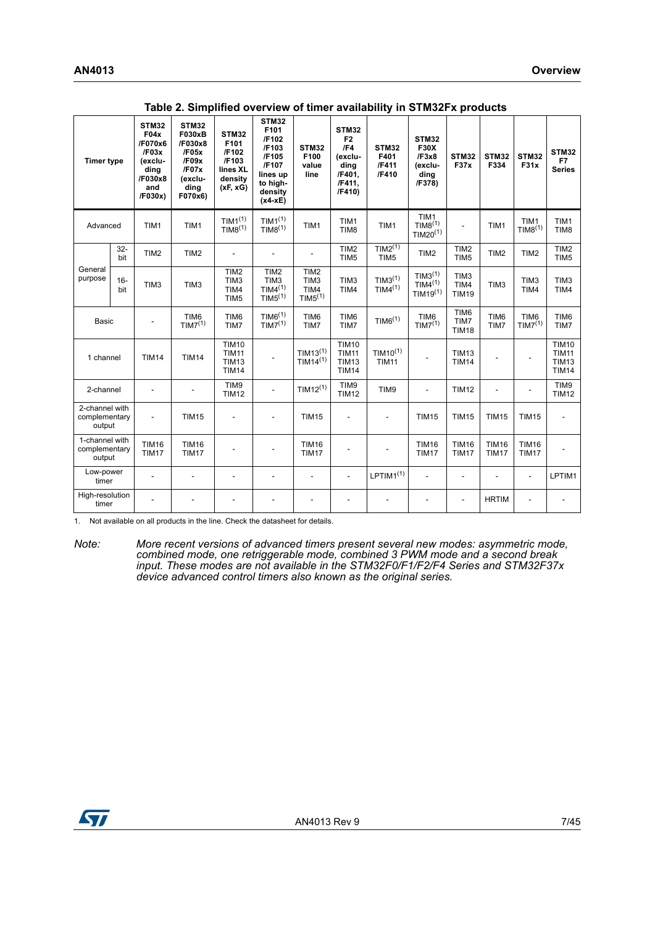<span id="page-6-0"></span>

| <b>Timer type</b>                         |               | STM32<br>F04x<br>/F070x6<br>/F03x<br>(exclu-<br>ding<br>/F030x8<br>and<br>/F030x) | STM32<br><b>F030xB</b><br>/F030x8<br>/F05x<br>/F09x<br>/F07x<br>(exclu-<br>ding<br>F070x6) | STM32<br>F101<br>/F102<br>/F103<br>lines XL<br>density<br>(xF, xG) | <b>STM32</b><br>F101<br>/F102<br>/F103<br>/F105<br>/F107<br>lines up<br>to high-<br>density<br>$(x4-xE)$ | STM32<br>F100<br>value<br>line                                                  | <b>STM32</b><br>F <sub>2</sub><br>/F4<br>(exclu-<br>dina<br>/F401,<br>/F411.<br>/F410) | STM32<br>F401<br>/F411<br>/F410            | <b>STM32</b><br><b>F30X</b><br>/F3x8<br>(exclu-<br>ding<br>/F378)  | <b>STM32</b><br><b>F37x</b>              | STM32<br>F334                | <b>STM32</b><br>F31x                    | <b>STM32</b><br>F7<br><b>Series</b>                          |
|-------------------------------------------|---------------|-----------------------------------------------------------------------------------|--------------------------------------------------------------------------------------------|--------------------------------------------------------------------|----------------------------------------------------------------------------------------------------------|---------------------------------------------------------------------------------|----------------------------------------------------------------------------------------|--------------------------------------------|--------------------------------------------------------------------|------------------------------------------|------------------------------|-----------------------------------------|--------------------------------------------------------------|
| Advanced                                  |               | TIM1                                                                              | TIM1                                                                                       | TIM <sup>(1)</sup><br>TIM8 <sup>(1)</sup>                          | TIM <sup>(1)</sup><br>TIM8 <sup>(1)</sup>                                                                | TIM1                                                                            | TIM1<br>TIM <sub>8</sub>                                                               | TIM1                                       | TIM1<br>TIM8 <sup>(1)</sup><br>TIM20 <sup>(1)</sup>                |                                          | TIM1                         | TIM1<br>TIM8 <sup>(1)</sup>             | TIM1<br>TIM <sub>8</sub>                                     |
|                                           | $32 -$<br>bit | TIM <sub>2</sub>                                                                  | TIM <sub>2</sub>                                                                           |                                                                    |                                                                                                          |                                                                                 | TIM <sub>2</sub><br>TIM <sub>5</sub>                                                   | TIM2 <sup>(1)</sup><br>TIM5                | TIM <sub>2</sub>                                                   | TIM2<br>TIM <sub>5</sub>                 | TIM <sub>2</sub>             | TIM <sub>2</sub>                        | TIM <sub>2</sub><br>TIM <sub>5</sub>                         |
| General<br>purpose                        | $16 -$<br>bit | TIM <sub>3</sub>                                                                  | TIM <sub>3</sub>                                                                           | TIM <sub>2</sub><br>TIM <sub>3</sub><br>TIM4<br>TIM <sub>5</sub>   | TIM <sub>2</sub><br>TIM <sub>3</sub><br>TIM4 <sup>(1)</sup><br>TIM5 <sup>(1)</sup>                       | TIM <sub>2</sub><br>TIM <sub>3</sub><br>TIM4<br>TIM <sup>5</sup> <sup>(1)</sup> | TIM <sub>3</sub><br>TIM4                                                               | TIM3 <sup>(1)</sup><br>TIM4 <sup>(1)</sup> | TIM3 <sup>(1)</sup><br>TIM4 <sup>(1)</sup><br>TIM19 <sup>(1)</sup> | TIM <sub>3</sub><br>TIM4<br><b>TIM19</b> | TIM <sub>3</sub>             | TIM3<br>TIM4                            | TIM <sub>3</sub><br>TIM4                                     |
| <b>Basic</b>                              |               |                                                                                   | TIM6<br>TIM7 <sup>(1)</sup>                                                                | TIM6<br>TIM7                                                       | TIME <sup>(1)</sup><br>TIM7 <sup>(1)</sup>                                                               | TIM6<br>TIM7                                                                    | TIM6<br>TIM7                                                                           | TIM6 <sup>(1)</sup>                        | TIM6<br>TIM7 <sup>(1)</sup>                                        | TIM6<br>TIM7<br><b>TIM18</b>             | TIM6<br>TIM7                 | TIM <sub>6</sub><br>TIM7 <sup>(1)</sup> | TIM6<br>TIM7                                                 |
| 1 channel                                 |               | <b>TIM14</b>                                                                      | <b>TIM14</b>                                                                               | <b>TIM10</b><br><b>TIM11</b><br><b>TIM13</b><br><b>TIM14</b>       |                                                                                                          | TIM13 <sup>(1)</sup><br>$TIM14^{(1)}$                                           | <b>TIM10</b><br><b>TIM11</b><br><b>TIM13</b><br><b>TIM14</b>                           | TIM10 <sup>(1)</sup><br><b>TIM11</b>       |                                                                    | <b>TIM13</b><br><b>TIM14</b>             |                              | L,                                      | <b>TIM10</b><br><b>TIM11</b><br><b>TIM13</b><br><b>TIM14</b> |
| 2-channel                                 |               | ÷.                                                                                |                                                                                            | TIM9<br><b>TIM12</b>                                               | L.                                                                                                       | TIM12 <sup>(1)</sup>                                                            | TIM9<br><b>TIM12</b>                                                                   | TIM9                                       |                                                                    | <b>TIM12</b>                             |                              | ٠                                       | TIM9<br><b>TIM12</b>                                         |
| 2-channel with<br>complementary<br>output |               | $\overline{\phantom{a}}$                                                          | <b>TIM15</b>                                                                               | ÷,                                                                 | ÷.                                                                                                       | <b>TIM15</b>                                                                    | $\overline{\phantom{a}}$                                                               |                                            | <b>TIM15</b>                                                       | <b>TIM15</b>                             | <b>TIM15</b>                 | <b>TIM15</b>                            | L,                                                           |
| 1-channel with<br>complementary<br>output |               | <b>TIM16</b><br><b>TIM17</b>                                                      | <b>TIM16</b><br><b>TIM17</b>                                                               |                                                                    |                                                                                                          | <b>TIM16</b><br><b>TIM17</b>                                                    | $\overline{a}$                                                                         |                                            | <b>TIM16</b><br><b>TIM17</b>                                       | <b>TIM16</b><br><b>TIM17</b>             | <b>TIM16</b><br><b>TIM17</b> | <b>TIM16</b><br><b>TIM17</b>            |                                                              |
| Low-power<br>timer                        |               |                                                                                   |                                                                                            |                                                                    |                                                                                                          |                                                                                 | $\overline{\phantom{a}}$                                                               | $LPTIM1^{(1)}$                             |                                                                    |                                          |                              | $\overline{a}$                          | LPTIM1                                                       |
| High-resolution<br>timer                  |               |                                                                                   |                                                                                            |                                                                    |                                                                                                          |                                                                                 |                                                                                        |                                            |                                                                    |                                          | <b>HRTIM</b>                 |                                         |                                                              |

**Table 2. Simplified overview of timer availability in STM32Fx products** 

<span id="page-6-1"></span>1. Not available on all products in the line. Check the datasheet for details.

*Note: More recent versions of advanced timers present several new modes: asymmetric mode, combined mode, one retriggerable mode, combined 3 PWM mode and a second break input. These modes are not available in the STM32F0/F1/F2/F4 Series and STM32F37x device advanced control timers also known as the original series.*

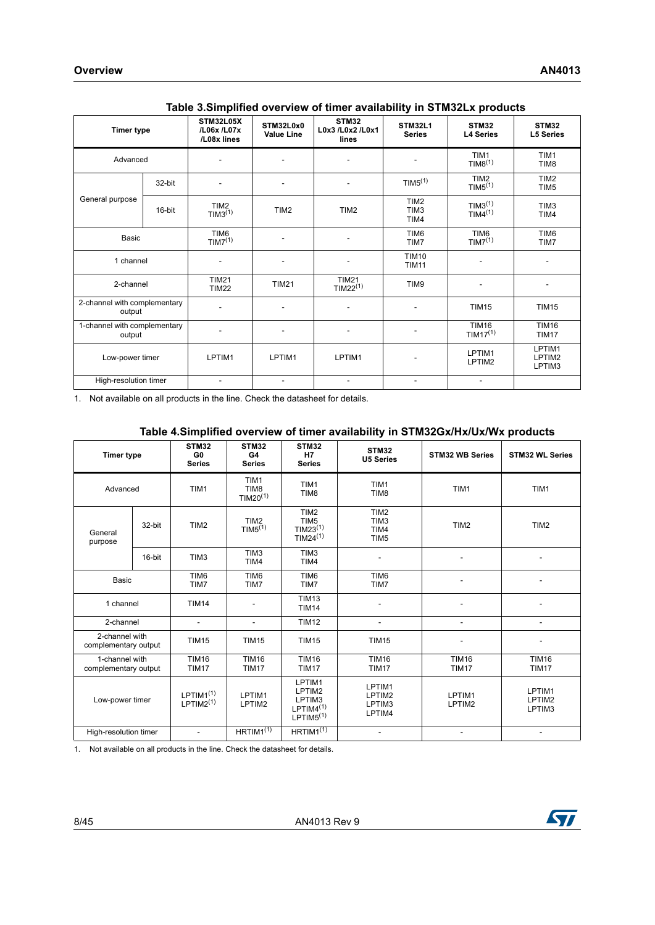<span id="page-7-0"></span>

| <b>Timer type</b>                      |        | STM32L05X<br>/L06x /L07x<br>/L08x lines | STM32L0x0<br><b>Value Line</b>     | <b>STM32</b><br>L0x3 /L0x2 /L0x1<br>lines | <b>STM32L1</b><br><b>Series</b>              | <b>STM32</b><br><b>L4 Series</b>           | STM32<br><b>L5 Series</b>            |
|----------------------------------------|--------|-----------------------------------------|------------------------------------|-------------------------------------------|----------------------------------------------|--------------------------------------------|--------------------------------------|
| Advanced                               |        |                                         |                                    |                                           |                                              | TIM1<br>TIM8 <sup>(1)</sup>                | TIM1<br>TIM <sub>8</sub>             |
|                                        | 32-bit |                                         | $\overline{\phantom{a}}$           | $\qquad \qquad \blacksquare$              | TIM5 <sup>(1)</sup>                          | TIM <sub>2</sub><br>TIM5 <sup>(1)</sup>    | TIM <sub>2</sub><br>TIM <sub>5</sub> |
| General purpose                        | 16-bit | TIM <sub>2</sub><br>TIM3 <sup>(1)</sup> | TIM <sub>2</sub>                   | TIM <sub>2</sub>                          | TIM <sub>2</sub><br>TIM <sub>3</sub><br>TIM4 | TIM3 <sup>(1)</sup><br>TIM4 <sup>(1)</sup> | TIM <sub>3</sub><br>TIM4             |
| <b>Basic</b>                           |        | TIM6<br>TIM7 <sup>(1)</sup>             | ٠                                  | ٠                                         | TIM6<br>TIM7                                 | TIM6<br>TIM7 <sup>(1)</sup>                | TIM6<br>TIM7                         |
| 1 channel                              |        |                                         | ٠                                  | $\qquad \qquad \blacksquare$              | <b>TIM10</b><br><b>TIM11</b>                 |                                            | $\overline{a}$                       |
| 2-channel                              |        | <b>TIM21</b><br><b>TIM22</b>            | <b>TIM21</b>                       | <b>TIM21</b><br>TIM22 <sup>(1)</sup>      | TIM9                                         |                                            |                                      |
| 2-channel with complementary<br>output |        |                                         | ٠                                  | ٠                                         | $\overline{\phantom{a}}$                     | <b>TIM15</b>                               | <b>TIM15</b>                         |
| 1-channel with complementary<br>output |        |                                         | ٠                                  | $\qquad \qquad \blacksquare$              | ٠                                            | <b>TIM16</b><br>$TIM17^{(1)}$              | <b>TIM16</b><br><b>TIM17</b>         |
| Low-power timer                        |        | LPTIM1                                  | LPTIM1<br>LPTIM1<br>$\overline{a}$ |                                           |                                              | LPTIM1<br>LPTIM2                           | LPTIM1<br>LPTIM2<br>LPTIM3           |
| High-resolution timer                  |        | $\overline{\phantom{a}}$                | $\overline{\phantom{a}}$           | $\overline{\phantom{a}}$                  | $\overline{\phantom{a}}$                     | -                                          |                                      |

#### **Table 3.Simplified overview of timer availability in STM32Lx products**

<span id="page-7-2"></span>1. Not available on all products in the line. Check the datasheet for details.

#### **Table 4.Simplified overview of timer availability in STM32Gx/Hx/Ux/Wx products**

<span id="page-7-1"></span>

|                                        |        | STM32                                   | <b>STM32</b>                            | <b>STM32</b>                                                                         |                                                                  |                              |                              |
|----------------------------------------|--------|-----------------------------------------|-----------------------------------------|--------------------------------------------------------------------------------------|------------------------------------------------------------------|------------------------------|------------------------------|
| <b>Timer type</b>                      |        | G <sub>0</sub><br><b>Series</b>         | G4<br><b>Series</b>                     | <b>H7</b><br><b>Series</b>                                                           | <b>STM32</b><br><b>U5 Series</b>                                 | <b>STM32 WB Series</b>       | <b>STM32 WL Series</b>       |
| Advanced                               |        | TIM1                                    | TIM1<br>TIM <sub>8</sub><br>TIM20 $(1)$ | TIM1<br>TIM <sub>8</sub>                                                             | TIM1<br>TIM <sub>8</sub>                                         | TIM1                         | TIM1                         |
| General<br>purpose                     | 32-bit | TIM <sub>2</sub>                        | TIM <sub>2</sub><br>TIM5 <sup>(1)</sup> | TIM <sub>2</sub><br>TIM <sub>5</sub><br>TIM23 <sup>(1)</sup><br>TIM24 <sup>(1)</sup> | TIM <sub>2</sub><br>TIM <sub>3</sub><br>TIM4<br>TIM <sub>5</sub> | TIM <sub>2</sub>             | TIM <sub>2</sub>             |
|                                        | 16-bit | TIM <sub>3</sub>                        | TIM <sub>3</sub><br>TIM4                | TIM <sub>3</sub><br>TIM4                                                             |                                                                  |                              |                              |
| <b>Basic</b>                           |        | TIM6<br>TIM7                            | TIM6<br>TIM7                            | TIM6<br>TIM7                                                                         | TIM6<br>TIM7                                                     |                              |                              |
| 1 channel                              |        | <b>TIM14</b>                            |                                         | <b>TIM13</b><br><b>TIM14</b>                                                         |                                                                  |                              |                              |
| 2-channel                              |        | $\overline{a}$                          | $\blacksquare$                          | <b>TIM12</b>                                                                         | $\sim$                                                           | $\blacksquare$               | $\mathbf{r}$                 |
| 2-channel with<br>complementary output |        | <b>TIM15</b>                            | <b>TIM15</b>                            | <b>TIM15</b>                                                                         | <b>TIM15</b>                                                     |                              |                              |
| 1-channel with<br>complementary output |        | <b>TIM16</b><br><b>TIM17</b>            |                                         | <b>TIM16</b><br><b>TIM17</b>                                                         | <b>TIM16</b><br><b>TIM17</b>                                     | <b>TIM16</b><br><b>TIM17</b> | <b>TIM16</b><br><b>TIM17</b> |
| Low-power timer                        |        | $LPTIM1^{(1)}$<br>LPTIM2 <sup>(1)</sup> | LPTIM1<br>LPTIM2                        | LPTIM1<br>LPTIM2<br>LPTIM3<br>$LPTIM4^{(1)}$<br>LPTIM5 <sup>(1)</sup>                | LPTIM1<br>LPTIM2<br>LPTIM3<br>LPTIM4                             | LPTIM1<br>LPTIM2             | LPTIM1<br>LPTIM2<br>LPTIM3   |
| High-resolution timer                  |        | ٠                                       | $HRTIM1^{(1)}$                          | $HRTIM1^{(1)}$                                                                       |                                                                  | ٠                            |                              |

<span id="page-7-3"></span>1. Not available on all products in the line. Check the datasheet for details.

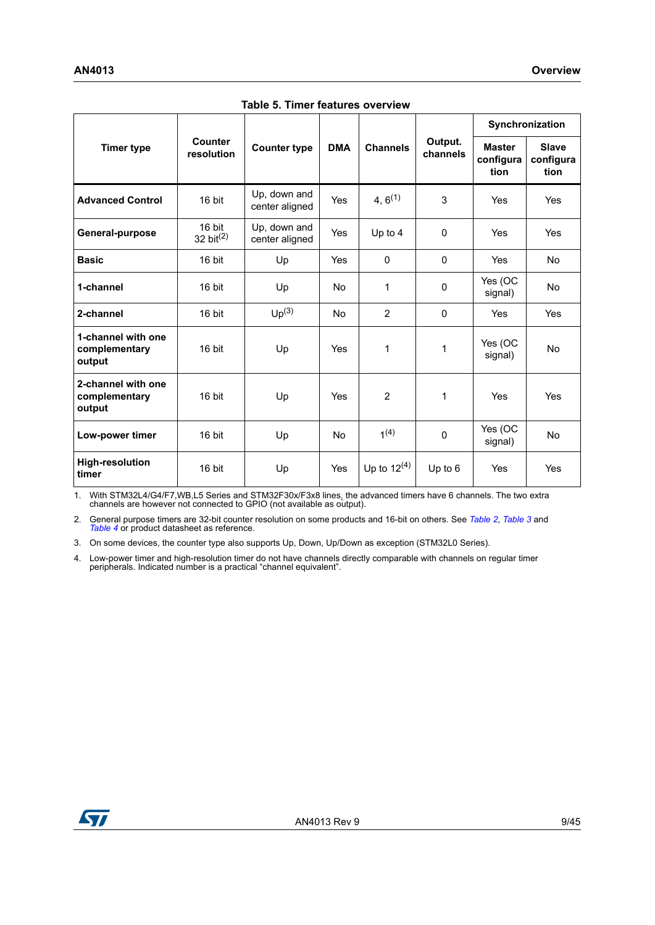<span id="page-8-0"></span>

|                                               |                        |                                |            |                  |                     | Synchronization                    |                                   |  |
|-----------------------------------------------|------------------------|--------------------------------|------------|------------------|---------------------|------------------------------------|-----------------------------------|--|
| <b>Timer type</b>                             | Counter<br>resolution  | <b>Counter type</b>            | <b>DMA</b> | <b>Channels</b>  | Output.<br>channels | <b>Master</b><br>configura<br>tion | <b>Slave</b><br>configura<br>tion |  |
| <b>Advanced Control</b>                       | 16 bit                 | Up, down and<br>center aligned | Yes        | 4, $6^{(1)}$     | 3                   | Yes                                | <b>Yes</b>                        |  |
| General-purpose                               | 16 bit<br>32 bit $(2)$ | Up, down and<br>center aligned | Yes        | Up to 4          | $\Omega$            | Yes                                | <b>Yes</b>                        |  |
| <b>Basic</b>                                  | 16 bit                 | Up                             | <b>Yes</b> | $\Omega$         | $\mathbf{0}$        | Yes                                | No.                               |  |
| 1-channel                                     | 16 bit                 | Up                             | <b>No</b>  | 1                | $\Omega$            | Yes (OC<br>signal)                 | <b>No</b>                         |  |
| 2-channel                                     | 16 bit                 | Up <sup>(3)</sup>              | <b>No</b>  | $\overline{2}$   | $\mathbf{0}$        | Yes                                | <b>Yes</b>                        |  |
| 1-channel with one<br>complementary<br>output | 16 bit                 | Up                             | Yes        | 1                | 1                   | Yes (OC<br>signal)                 | <b>No</b>                         |  |
| 2-channel with one<br>complementary<br>output | 16 bit                 | Up                             | Yes        | $\overline{2}$   | 1                   | Yes                                | Yes                               |  |
| Low-power timer                               | 16 bit                 | Up                             | <b>No</b>  | $1^{(4)}$        | 0                   | Yes (OC<br>signal)                 | <b>No</b>                         |  |
| <b>High-resolution</b><br>timer               | 16 bit                 | Up                             | Yes        | Up to $12^{(4)}$ | Up to $6$           | Yes                                | Yes                               |  |

**Table 5. Timer features overview** 

1. With STM32L4/G4/F7,WB,L5 Series and STM32F30x/F3x8 lines, the advanced timers have 6 channels. The two extra channels are however not connected to GPIO (not available as output).

2. General purpose timers are 32-bit counter resolution on some products and 16-bit on others. See *[Table 2](#page-6-0)*, *[Table 3](#page-7-0)* and *[Table 4](#page-7-1)* or product datasheet as reference.

3. On some devices, the counter type also supports Up, Down, Up/Down as exception (STM32L0 Series).

<span id="page-8-1"></span>4. Low-power timer and high-resolution timer do not have channels directly comparable with channels on regular timer peripherals. Indicated number is a practical "channel equivalent".

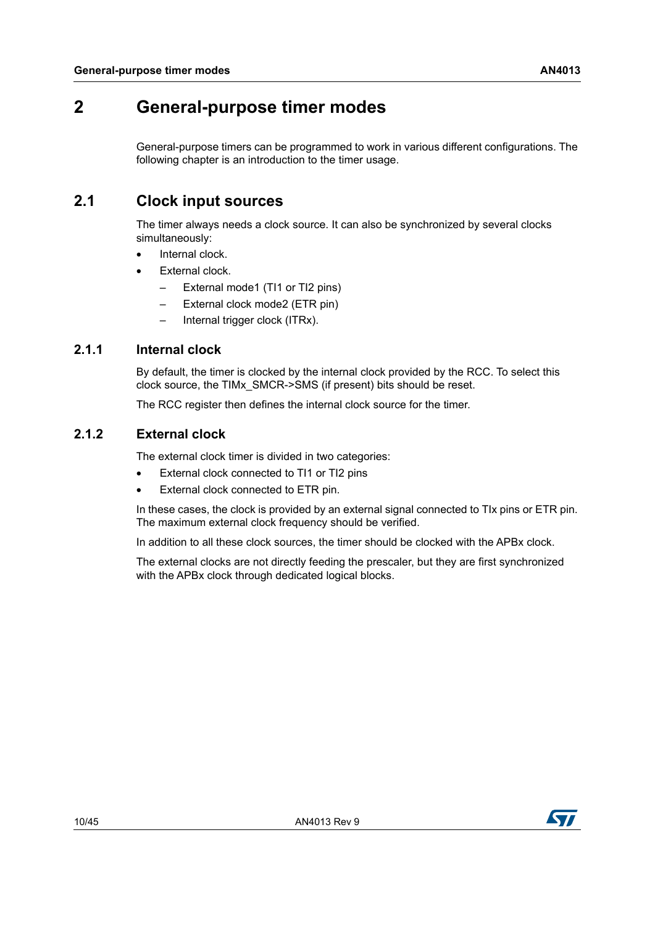# <span id="page-9-0"></span>**2 General-purpose timer modes**

General-purpose timers can be programmed to work in various different configurations. The following chapter is an introduction to the timer usage.

### <span id="page-9-1"></span>**2.1 Clock input sources**

The timer always needs a clock source. It can also be synchronized by several clocks simultaneously:

- Internal clock.
- External clock.
	- External mode1 (TI1 or TI2 pins)
	- External clock mode2 (ETR pin)
	- Internal trigger clock (ITRx).

### <span id="page-9-2"></span>**2.1.1 Internal clock**

By default, the timer is clocked by the internal clock provided by the RCC. To select this clock source, the TIMx\_SMCR->SMS (if present) bits should be reset.

The RCC register then defines the internal clock source for the timer.

### <span id="page-9-3"></span>**2.1.2 External clock**

The external clock timer is divided in two categories:

- External clock connected to TI1 or TI2 pins
- External clock connected to ETR pin.

In these cases, the clock is provided by an external signal connected to TIx pins or ETR pin. The maximum external clock frequency should be verified.

In addition to all these clock sources, the timer should be clocked with the APBx clock.

The external clocks are not directly feeding the prescaler, but they are first synchronized with the APBx clock through dedicated logical blocks.

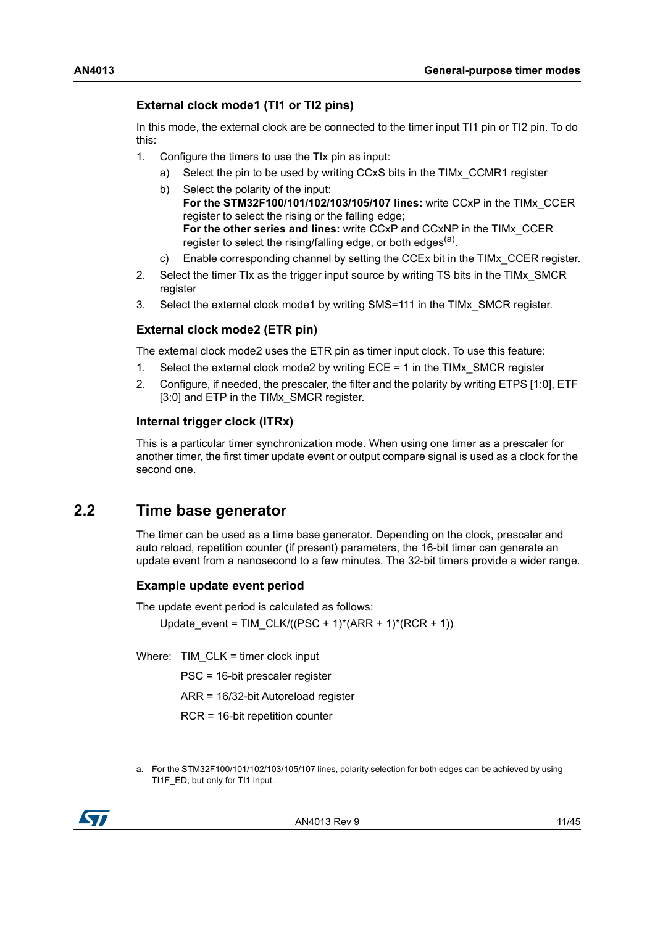### **External clock mode1 (TI1 or TI2 pins)**

In this mode, the external clock are be connected to the timer input TI1 pin or TI2 pin. To do this:

- 1. Configure the timers to use the TIx pin as input:
	- a) Select the pin to be used by writing CCxS bits in the TIMx\_CCMR1 register
	- b) Select the polarity of the input: **For the STM32F100/101/102/103/105/107 lines:** write CCxP in the TIMx\_CCER register to select the rising or the falling edge; **For the other series and lines:** write CCxP and CCxNP in the TIMx\_CCER register to select the rising/falling edge, or both edges $(4)$ .
	- c) Enable corresponding channel by setting the CCEx bit in the TIMx\_CCER register.
- 2. Select the timer TIx as the trigger input source by writing TS bits in the TIMx\_SMCR register
- 3. Select the external clock mode1 by writing SMS=111 in the TIMx\_SMCR register.

#### **External clock mode2 (ETR pin)**

The external clock mode2 uses the ETR pin as timer input clock. To use this feature:

- 1. Select the external clock mode2 by writing ECE = 1 in the TIMx\_SMCR register
- 2. Configure, if needed, the prescaler, the filter and the polarity by writing ETPS [1:0], ETF [3:0] and ETP in the TIMx SMCR register.

#### **Internal trigger clock (ITRx)**

This is a particular timer synchronization mode. When using one timer as a prescaler for another timer, the first timer update event or output compare signal is used as a clock for the second one.

### <span id="page-10-0"></span>**2.2 Time base generator**

The timer can be used as a time base generator. Depending on the clock, prescaler and auto reload, repetition counter (if present) parameters, the 16-bit timer can generate an update event from a nanosecond to a few minutes. The 32-bit timers provide a wider range.

#### **Example update event period**

The update event period is calculated as follows: Update\_event = TIM\_CLK/((PSC + 1)\*(ARR + 1)\*(RCR + 1))

Where:  $TIM$  CLK = timer clock input

PSC = 16-bit prescaler register

ARR = 16/32-bit Autoreload register

RCR = 16-bit repetition counter

a. For the STM32F100/101/102/103/105/107 lines, polarity selection for both edges can be achieved by using TI1F\_ED, but only for TI1 input.

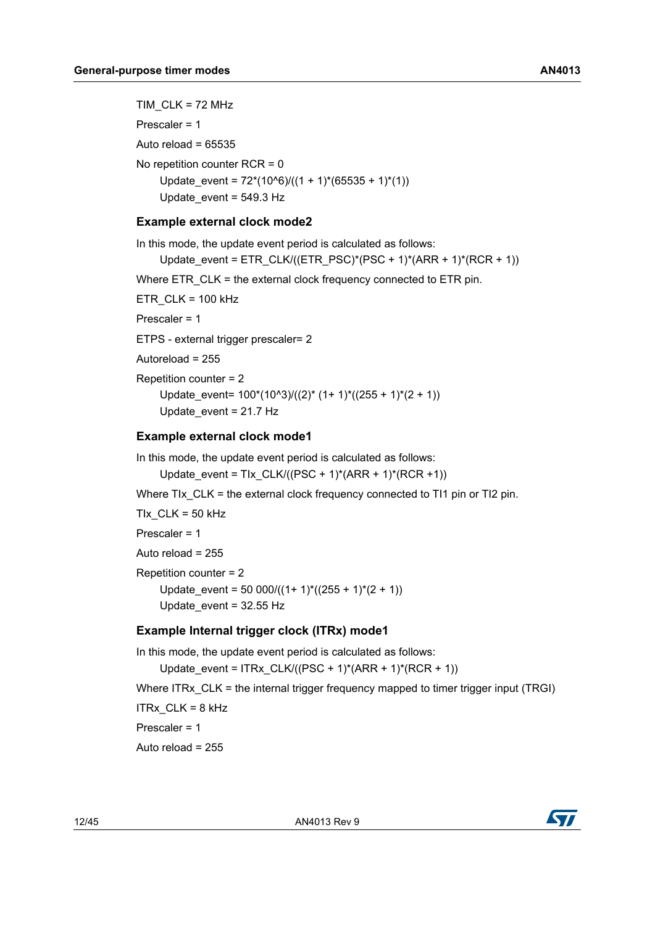TIM  $CLK = 72$  MHz Prescaler = 1 Auto reload =  $65535$ No repetition counter RCR = 0 Update event =  $72*(10^6)/(1 + 1)*(65535 + 1)*(1)$ Update\_event = 549.3 Hz

#### **Example external clock mode2**

In this mode, the update event period is calculated as follows: Update\_event = ETR\_CLK/((ETR\_PSC)\*(PSC + 1)\*(ARR + 1)\*(RCR + 1)) Where ETR\_CLK = the external clock frequency connected to ETR pin. ETR  $CLK = 100$  kHz Prescaler = 1 ETPS - external trigger prescaler= 2 Autoreload = 255 Repetition counter = 2 Update event=  $100*(10^x)(2)* (1+ 1)*((255 + 1)*(2 + 1))$ Update  $event = 21.7 Hz$ **Example external clock mode1**

In this mode, the update event period is calculated as follows:

Update\_event = TIx\_CLK/((PSC + 1)\*(ARR + 1)\*(RCR +1))

Where TIx CLK = the external clock frequency connected to TI1 pin or TI2 pin.

TIX  $CLK = 50$  kHz Prescaler = 1 Auto reload  $= 255$ Repetition counter = 2 Update event = 50 000/( $(1+ 1)$ <sup>\*</sup>((255 + 1)<sup>\*</sup>(2 + 1)) Update  $event = 32.55$  Hz

### **Example Internal trigger clock (ITRx) mode1**

In this mode, the update event period is calculated as follows: Update\_event = ITRx\_CLK/((PSC + 1)\*(ARR + 1)\*(RCR + 1)) Where ITRx CLK = the internal trigger frequency mapped to timer trigger input (TRGI) ITR $x$  CLK = 8 kHz Prescaler = 1 Auto reload  $= 255$ 

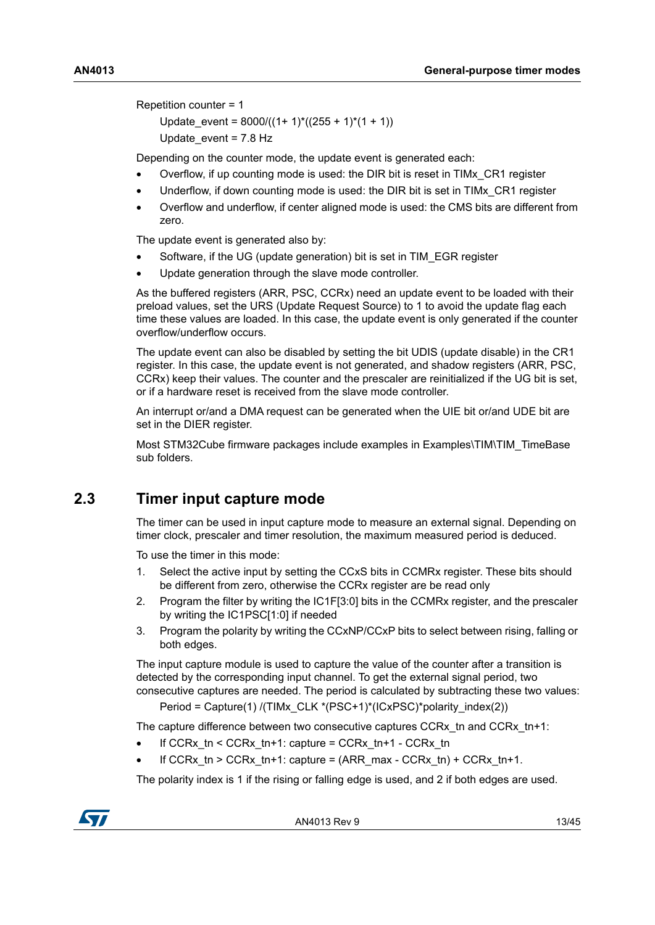Repetition counter = 1

Update event =  $8000/((1 + 1)*(255 + 1)*(1 + 1))$ Update\_event = 7.8 Hz

Depending on the counter mode, the update event is generated each:

- Overflow, if up counting mode is used: the DIR bit is reset in TIMx\_CR1 register
- Underflow, if down counting mode is used: the DIR bit is set in TIMx\_CR1 register
- Overflow and underflow, if center aligned mode is used: the CMS bits are different from zero.

The update event is generated also by:

- Software, if the UG (update generation) bit is set in TIM\_EGR register
- Update generation through the slave mode controller.

As the buffered registers (ARR, PSC, CCRx) need an update event to be loaded with their preload values, set the URS (Update Request Source) to 1 to avoid the update flag each time these values are loaded. In this case, the update event is only generated if the counter overflow/underflow occurs.

The update event can also be disabled by setting the bit UDIS (update disable) in the CR1 register. In this case, the update event is not generated, and shadow registers (ARR, PSC, CCRx) keep their values. The counter and the prescaler are reinitialized if the UG bit is set, or if a hardware reset is received from the slave mode controller.

An interrupt or/and a DMA request can be generated when the UIE bit or/and UDE bit are set in the DIER register.

Most STM32Cube firmware packages include examples in Examples\TIM\TIM\_TimeBase sub folders.

### <span id="page-12-0"></span>**2.3 Timer input capture mode**

The timer can be used in input capture mode to measure an external signal. Depending on timer clock, prescaler and timer resolution, the maximum measured period is deduced.

To use the timer in this mode:

- 1. Select the active input by setting the CCxS bits in CCMRx register. These bits should be different from zero, otherwise the CCRx register are be read only
- 2. Program the filter by writing the IC1F[3:0] bits in the CCMRx register, and the prescaler by writing the IC1PSC[1:0] if needed
- 3. Program the polarity by writing the CCxNP/CCxP bits to select between rising, falling or both edges.

The input capture module is used to capture the value of the counter after a transition is detected by the corresponding input channel. To get the external signal period, two consecutive captures are needed. The period is calculated by subtracting these two values:

Period = Capture(1) /(TIMx\_CLK \*(PSC+1)\*(ICxPSC)\*polarity\_index(2))

The capture difference between two consecutive captures CCRx tn and CCRx tn+1:

- If CCRx  $tn < CCRx$   $tn+1$ : capture = CCRx  $tn+1$  CCRx  $tn$
- If CCRx tn > CCRx tn+1: capture =  $(ARR \text{max} CCRx \text{tn}) + CCRx \text{tn}+1$ .

The polarity index is 1 if the rising or falling edge is used, and 2 if both edges are used.

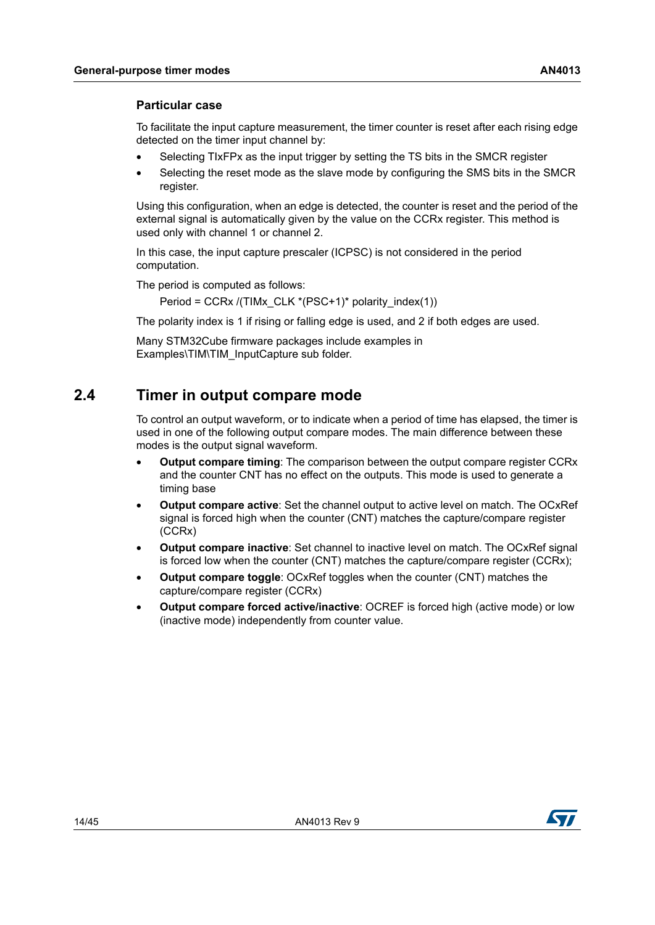#### **Particular case**

To facilitate the input capture measurement, the timer counter is reset after each rising edge detected on the timer input channel by:

- Selecting TIxFPx as the input trigger by setting the TS bits in the SMCR register
- Selecting the reset mode as the slave mode by configuring the SMS bits in the SMCR register.

Using this configuration, when an edge is detected, the counter is reset and the period of the external signal is automatically given by the value on the CCRx register. This method is used only with channel 1 or channel 2.

In this case, the input capture prescaler (ICPSC) is not considered in the period computation.

The period is computed as follows:

Period = CCRx /(TIMx CLK \*(PSC+1)\* polarity index(1))

The polarity index is 1 if rising or falling edge is used, and 2 if both edges are used.

Many STM32Cube firmware packages include examples in Examples\TIM\TIM\_InputCapture sub folder.

### <span id="page-13-0"></span>**2.4 Timer in output compare mode**

To control an output waveform, or to indicate when a period of time has elapsed, the timer is used in one of the following output compare modes. The main difference between these modes is the output signal waveform.

- **Output compare timing**: The comparison between the output compare register CCRx and the counter CNT has no effect on the outputs. This mode is used to generate a timing base
- **Output compare active**: Set the channel output to active level on match. The OCxRef signal is forced high when the counter (CNT) matches the capture/compare register (CCRx)
- **Output compare inactive**: Set channel to inactive level on match. The OCxRef signal is forced low when the counter (CNT) matches the capture/compare register (CCRx);
- **Output compare toggle**: OCxRef toggles when the counter (CNT) matches the capture/compare register (CCRx)
- **Output compare forced active/inactive**: OCREF is forced high (active mode) or low (inactive mode) independently from counter value.

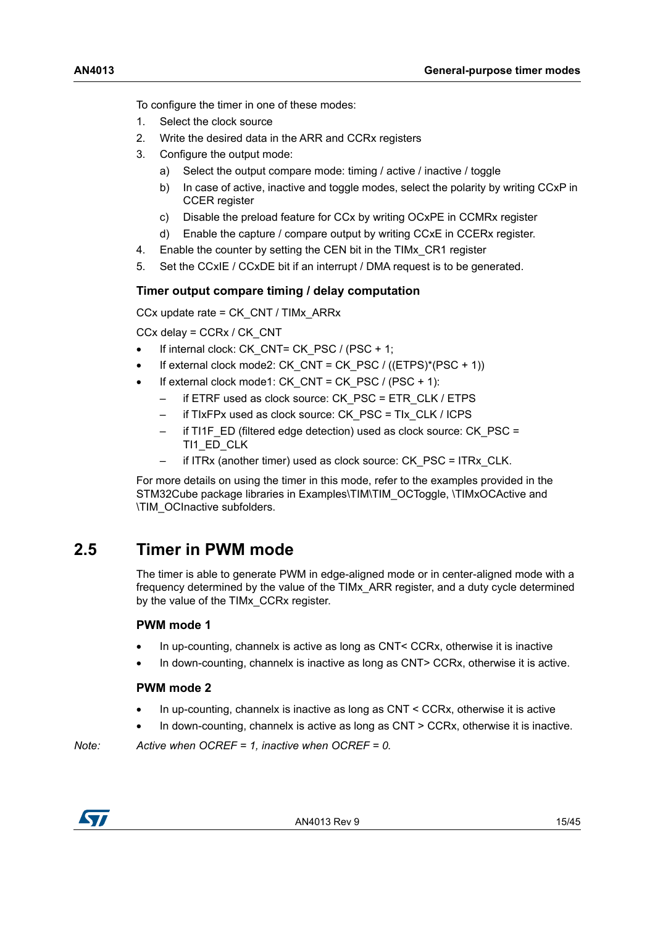To configure the timer in one of these modes:

- 1. Select the clock source
- 2. Write the desired data in the ARR and CCRx registers
- 3. Configure the output mode:
	- a) Select the output compare mode: timing / active / inactive / toggle
	- b) In case of active, inactive and toggle modes, select the polarity by writing CCxP in CCER register
	- c) Disable the preload feature for CCx by writing OCxPE in CCMRx register
	- d) Enable the capture / compare output by writing CCxE in CCERx register.
- 4. Enable the counter by setting the CEN bit in the TIMx\_CR1 register
- 5. Set the CCxIE / CCxDE bit if an interrupt / DMA request is to be generated.

#### **Timer output compare timing / delay computation**

CCx update rate = CK\_CNT / TIMx\_ARRx

CCx delay = CCRx / CK\_CNT

- If internal clock: CK\_CNT= CK\_PSC / (PSC + 1;
- If external clock mode2: CK\_CNT = CK\_PSC /  $((ETPS)^*(PSC + 1))$
- If external clock mode1: CK\_CNT = CK\_PSC / (PSC + 1):
	- if ETRF used as clock source: CK\_PSC = ETR\_CLK / ETPS
	- if TIxFPx used as clock source: CK\_PSC = TIx\_CLK / ICPS
	- if TI1F  $E$ D (filtered edge detection) used as clock source: CK  $PSC =$ TI1\_ED\_CLK
	- if ITRx (another timer) used as clock source: CK\_PSC = ITRx\_CLK.

For more details on using the timer in this mode, refer to the examples provided in the STM32Cube package libraries in Examples\TIM\TIM\_OCToggle, \TIMxOCActive and \TIM\_OCInactive subfolders.

### <span id="page-14-0"></span>**2.5 Timer in PWM mode**

The timer is able to generate PWM in edge-aligned mode or in center-aligned mode with a frequency determined by the value of the TIMx\_ARR register, and a duty cycle determined by the value of the TIMx\_CCRx register.

#### **PWM mode 1**

- In up-counting, channelx is active as long as CNT< CCRx, otherwise it is inactive
- In down-counting, channelx is inactive as long as CNT> CCRx, otherwise it is active.

#### **PWM mode 2**

- In up-counting, channelx is inactive as long as CNT < CCRx, otherwise it is active
- In down-counting, channelx is active as long as CNT > CCRx, otherwise it is inactive.

*Note: Active when OCREF = 1, inactive when OCREF = 0.*

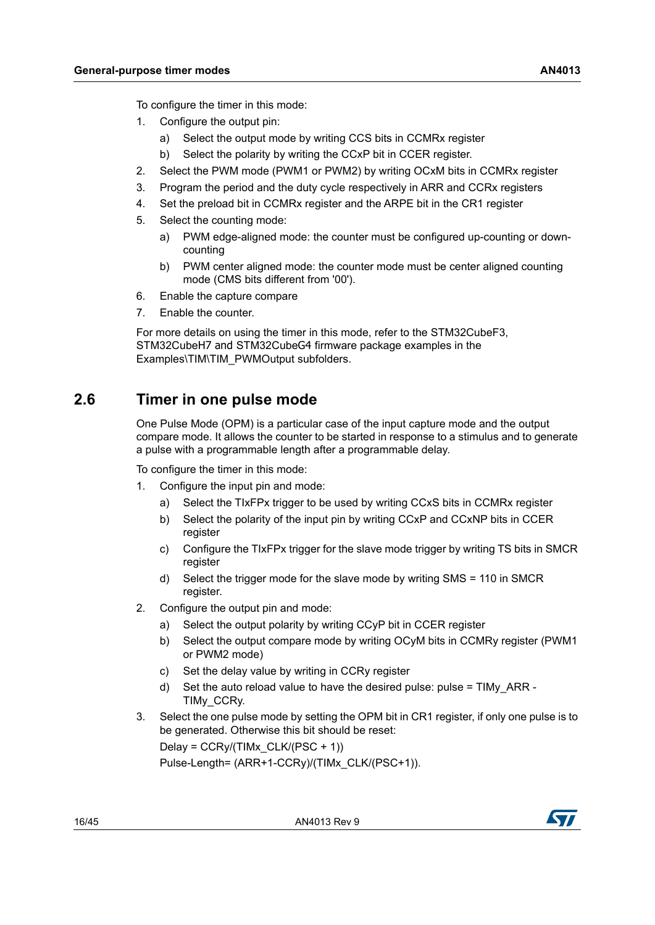To configure the timer in this mode:

- 1. Configure the output pin:
	- a) Select the output mode by writing CCS bits in CCMRx register
	- b) Select the polarity by writing the CCxP bit in CCER register.
- 2. Select the PWM mode (PWM1 or PWM2) by writing OCxM bits in CCMRx register
- 3. Program the period and the duty cycle respectively in ARR and CCRx registers
- 4. Set the preload bit in CCMRx register and the ARPE bit in the CR1 register
- 5. Select the counting mode:
	- a) PWM edge-aligned mode: the counter must be configured up-counting or downcounting
	- b) PWM center aligned mode: the counter mode must be center aligned counting mode (CMS bits different from '00').
- 6. Enable the capture compare
- 7. Enable the counter.

For more details on using the timer in this mode, refer to the STM32CubeF3, STM32CubeH7 and STM32CubeG4 firmware package examples in the Examples\TIM\TIM\_PWMOutput subfolders.

### <span id="page-15-0"></span>**2.6 Timer in one pulse mode**

One Pulse Mode (OPM) is a particular case of the input capture mode and the output compare mode. It allows the counter to be started in response to a stimulus and to generate a pulse with a programmable length after a programmable delay.

To configure the timer in this mode:

- 1. Configure the input pin and mode:
	- a) Select the TIxFPx trigger to be used by writing CCxS bits in CCMRx register
	- b) Select the polarity of the input pin by writing CCxP and CCxNP bits in CCER register
	- c) Configure the TIxFPx trigger for the slave mode trigger by writing TS bits in SMCR register
	- d) Select the trigger mode for the slave mode by writing SMS = 110 in SMCR register.
- 2. Configure the output pin and mode:
	- a) Select the output polarity by writing CCyP bit in CCER register
	- b) Select the output compare mode by writing OCyM bits in CCMRy register (PWM1 or PWM2 mode)
	- c) Set the delay value by writing in CCRy register
	- d) Set the auto reload value to have the desired pulse: pulse =  $TIMy$  ARR -TIMy\_CCRy.
- 3. Select the one pulse mode by setting the OPM bit in CR1 register, if only one pulse is to be generated. Otherwise this bit should be reset:

Delay =  $CCRy/(TIME CLK/(PSC + 1))$ 

Pulse-Length= (ARR+1-CCRy)/(TIMx\_CLK/(PSC+1)).

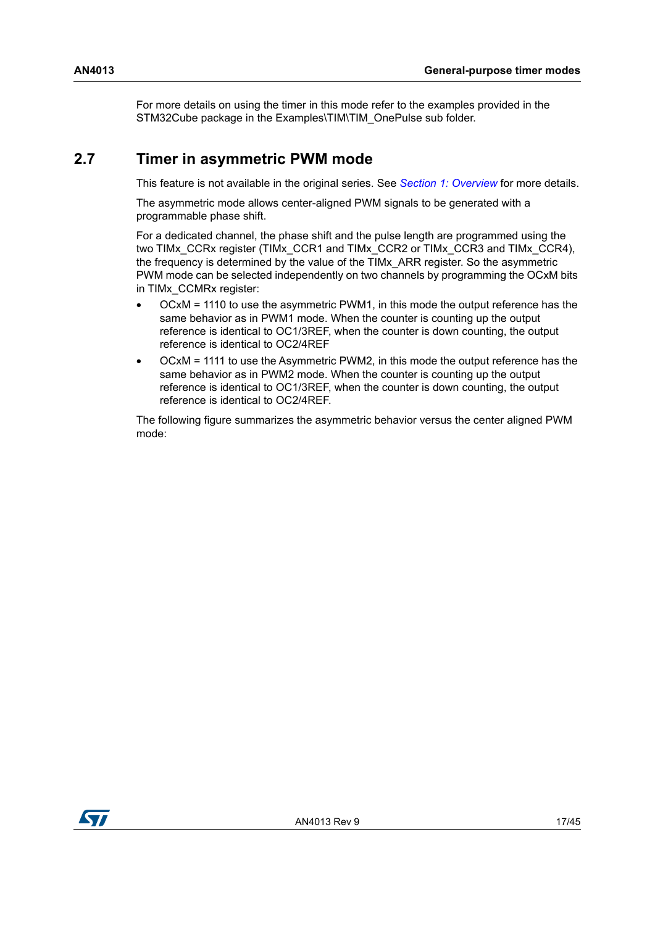For more details on using the timer in this mode refer to the examples provided in the STM32Cube package in the Examples\TIM\TIM\_OnePulse sub folder.

### <span id="page-16-0"></span>**2.7 Timer in asymmetric PWM mode**

This feature is not available in the original series. See *Section [1: Overview](#page-5-0)* for more details.

The asymmetric mode allows center-aligned PWM signals to be generated with a programmable phase shift.

For a dedicated channel, the phase shift and the pulse length are programmed using the two TIMx\_CCRx register (TIMx\_CCR1 and TIMx\_CCR2 or TIMx\_CCR3 and TIMx\_CCR4), the frequency is determined by the value of the TIMx\_ARR register. So the asymmetric PWM mode can be selected independently on two channels by programming the OCxM bits in TIMx\_CCMRx register:

- OCxM = 1110 to use the asymmetric PWM1, in this mode the output reference has the same behavior as in PWM1 mode. When the counter is counting up the output reference is identical to OC1/3REF, when the counter is down counting, the output reference is identical to OC2/4REF
- OCxM = 1111 to use the Asymmetric PWM2, in this mode the output reference has the same behavior as in PWM2 mode. When the counter is counting up the output reference is identical to OC1/3REF, when the counter is down counting, the output reference is identical to OC2/4REF.

The following figure summarizes the asymmetric behavior versus the center aligned PWM mode:

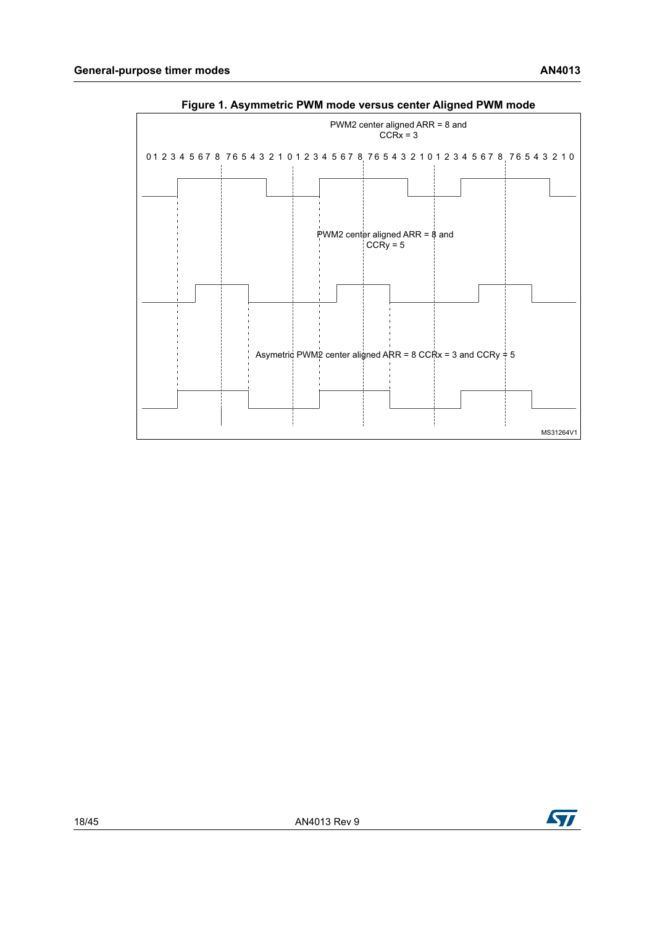<span id="page-17-0"></span>



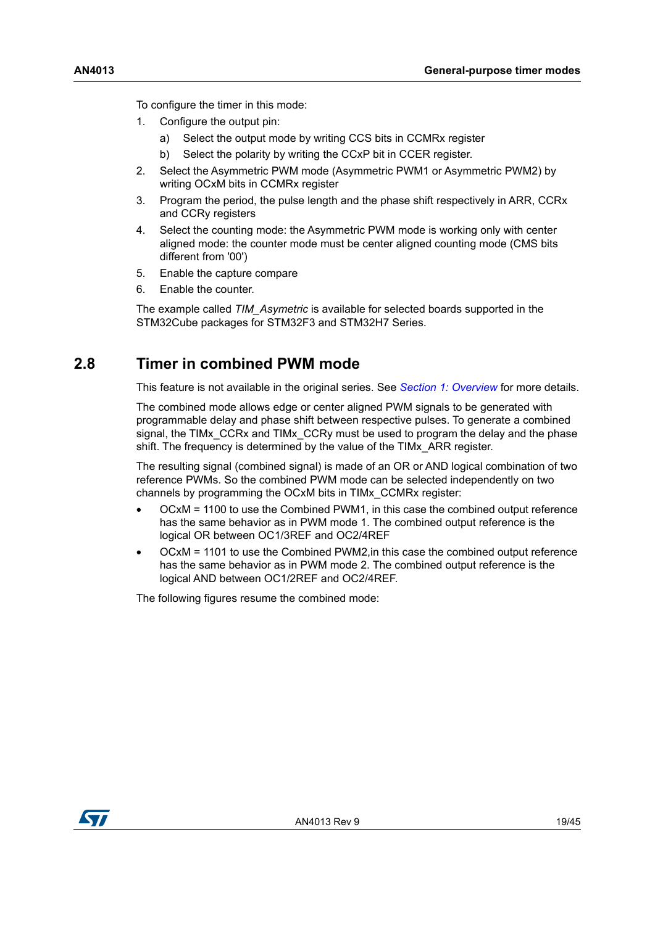To configure the timer in this mode:

- 1. Configure the output pin:
	- a) Select the output mode by writing CCS bits in CCMRx register
	- b) Select the polarity by writing the CCxP bit in CCER register.
- 2. Select the Asymmetric PWM mode (Asymmetric PWM1 or Asymmetric PWM2) by writing OCxM bits in CCMRx register
- 3. Program the period, the pulse length and the phase shift respectively in ARR, CCRx and CCRy registers
- 4. Select the counting mode: the Asymmetric PWM mode is working only with center aligned mode: the counter mode must be center aligned counting mode (CMS bits different from '00')
- 5. Enable the capture compare
- 6. Enable the counter.

The example called *TIM\_Asymetric* is available for selected boards supported in the STM32Cube packages for STM32F3 and STM32H7 Series.

### <span id="page-18-0"></span>**2.8 Timer in combined PWM mode**

This feature is not available in the original series. See *Section [1: Overview](#page-5-0)* for more details.

The combined mode allows edge or center aligned PWM signals to be generated with programmable delay and phase shift between respective pulses. To generate a combined signal, the TIMx\_CCRx and TIMx\_CCRy must be used to program the delay and the phase shift. The frequency is determined by the value of the TIMx\_ARR register.

The resulting signal (combined signal) is made of an OR or AND logical combination of two reference PWMs. So the combined PWM mode can be selected independently on two channels by programming the OCxM bits in TIMx\_CCMRx register:

- OCxM = 1100 to use the Combined PWM1, in this case the combined output reference has the same behavior as in PWM mode 1. The combined output reference is the logical OR between OC1/3REF and OC2/4REF
- OCxM = 1101 to use the Combined PWM2,in this case the combined output reference has the same behavior as in PWM mode 2. The combined output reference is the logical AND between OC1/2REF and OC2/4REF.

The following figures resume the combined mode:

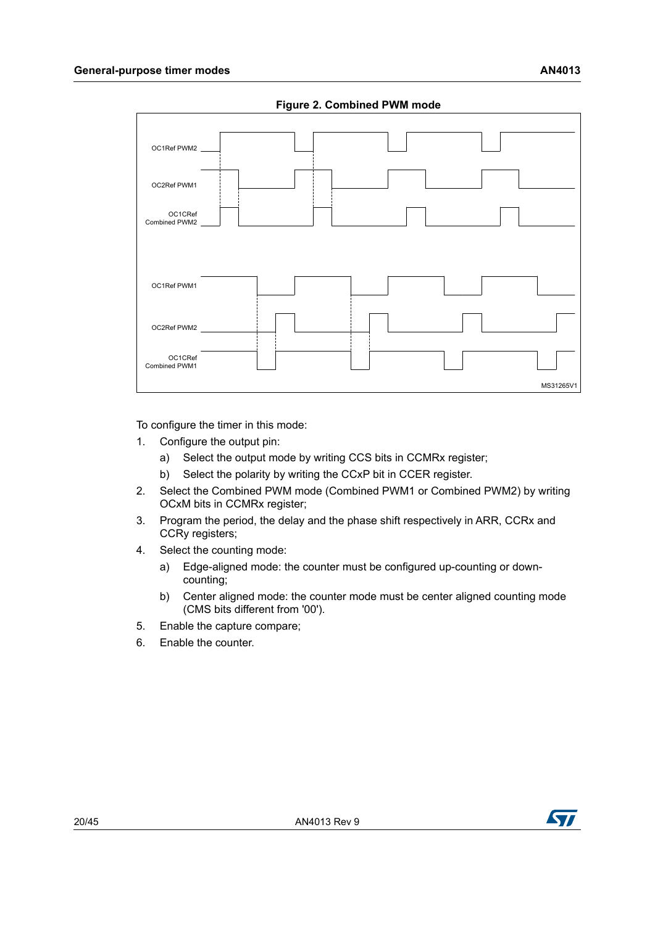<span id="page-19-0"></span>

**Figure 2. Combined PWM mode**

To configure the timer in this mode:

- 1. Configure the output pin:
	- a) Select the output mode by writing CCS bits in CCMRx register;
	- b) Select the polarity by writing the CCxP bit in CCER register.
- 2. Select the Combined PWM mode (Combined PWM1 or Combined PWM2) by writing OCxM bits in CCMRx register;
- 3. Program the period, the delay and the phase shift respectively in ARR, CCRx and CCRy registers;
- 4. Select the counting mode:
	- a) Edge-aligned mode: the counter must be configured up-counting or downcounting;
	- b) Center aligned mode: the counter mode must be center aligned counting mode (CMS bits different from '00').
- 5. Enable the capture compare;
- 6. Enable the counter.

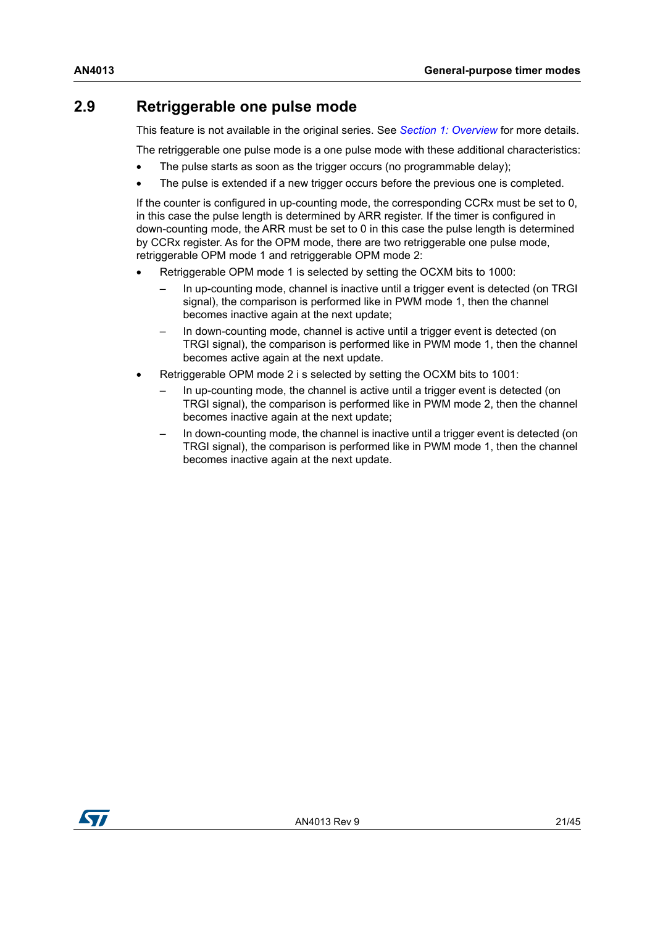### <span id="page-20-0"></span>**2.9 Retriggerable one pulse mode**

This feature is not available in the original series. See *Section [1: Overview](#page-5-0)* for more details.

The retriggerable one pulse mode is a one pulse mode with these additional characteristics:

- The pulse starts as soon as the trigger occurs (no programmable delay);
- The pulse is extended if a new trigger occurs before the previous one is completed.

If the counter is configured in up-counting mode, the corresponding CCRx must be set to 0, in this case the pulse length is determined by ARR register. If the timer is configured in down-counting mode, the ARR must be set to 0 in this case the pulse length is determined by CCRx register. As for the OPM mode, there are two retriggerable one pulse mode, retriggerable OPM mode 1 and retriggerable OPM mode 2:

- Retriggerable OPM mode 1 is selected by setting the OCXM bits to 1000:
	- In up-counting mode, channel is inactive until a trigger event is detected (on TRGI signal), the comparison is performed like in PWM mode 1, then the channel becomes inactive again at the next update;
	- In down-counting mode, channel is active until a trigger event is detected (on TRGI signal), the comparison is performed like in PWM mode 1, then the channel becomes active again at the next update.
- Retriggerable OPM mode 2 i s selected by setting the OCXM bits to 1001:
	- In up-counting mode, the channel is active until a trigger event is detected (on TRGI signal), the comparison is performed like in PWM mode 2, then the channel becomes inactive again at the next update;
	- In down-counting mode, the channel is inactive until a trigger event is detected (on TRGI signal), the comparison is performed like in PWM mode 1, then the channel becomes inactive again at the next update.

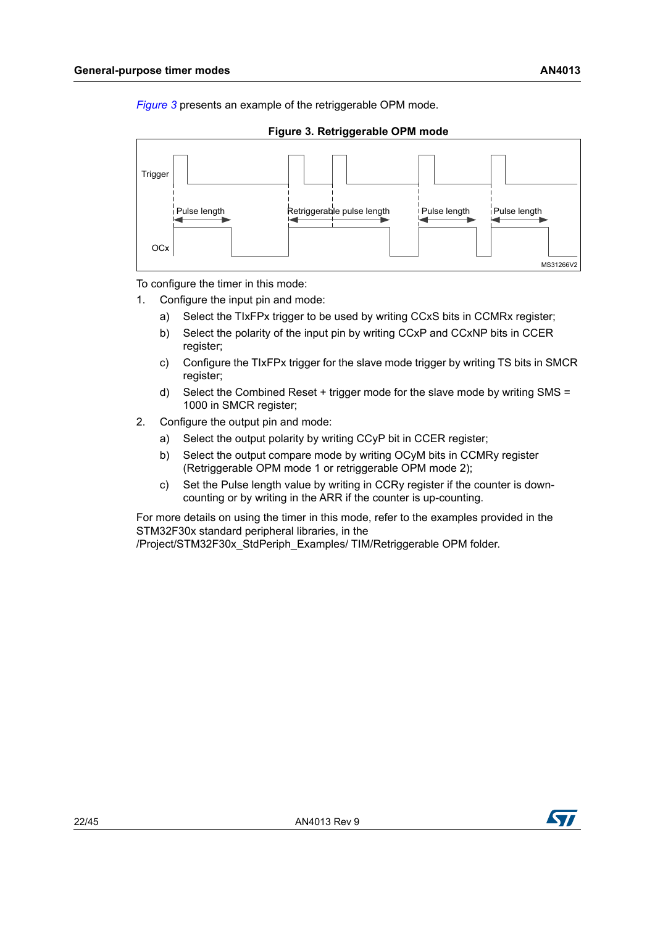*[Figure](#page-21-0) 3* presents an example of the retriggerable OPM mode.



<span id="page-21-0"></span>

To configure the timer in this mode:

- 1. Configure the input pin and mode:
	- a) Select the TIxFPx trigger to be used by writing CCxS bits in CCMRx register;
	- b) Select the polarity of the input pin by writing CCxP and CCxNP bits in CCER register;
	- c) Configure the TIxFPx trigger for the slave mode trigger by writing TS bits in SMCR register;
	- d) Select the Combined Reset + trigger mode for the slave mode by writing SMS = 1000 in SMCR register;
- 2. Configure the output pin and mode:
	- a) Select the output polarity by writing CCyP bit in CCER register;
	- b) Select the output compare mode by writing OCyM bits in CCMRy register (Retriggerable OPM mode 1 or retriggerable OPM mode 2);
	- c) Set the Pulse length value by writing in CCRy register if the counter is downcounting or by writing in the ARR if the counter is up-counting.

For more details on using the timer in this mode, refer to the examples provided in the STM32F30x standard peripheral libraries, in the

/Project/STM32F30x\_StdPeriph\_Examples/ TIM/Retriggerable OPM folder.

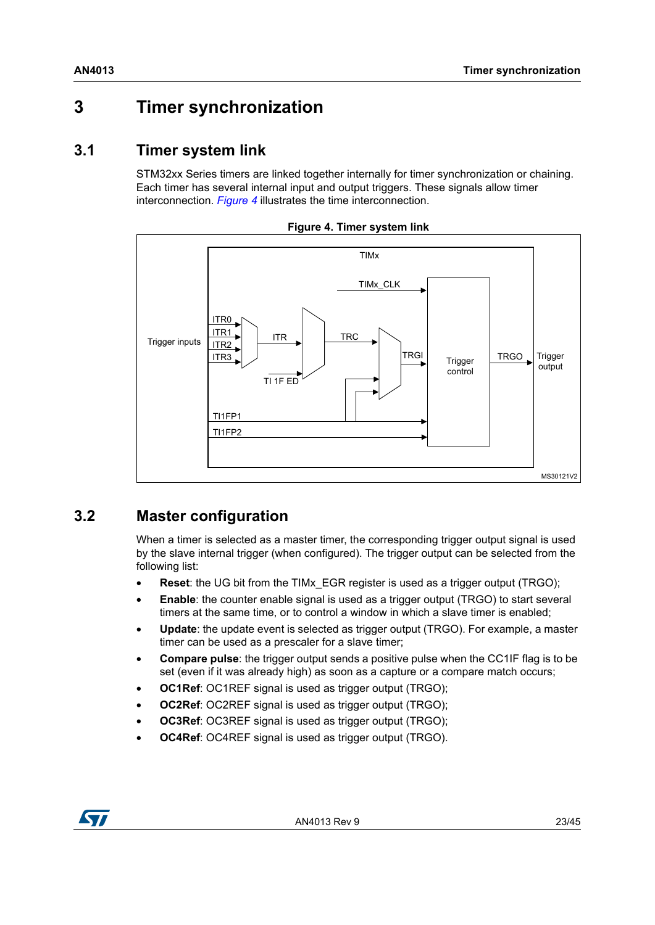# <span id="page-22-0"></span>**3 Timer synchronization**

### <span id="page-22-1"></span>**3.1 Timer system link**

STM32xx Series timers are linked together internally for timer synchronization or chaining. Each timer has several internal input and output triggers. These signals allow timer interconnection. *[Figure](#page-22-3) 4* illustrates the time interconnection.

<span id="page-22-3"></span>



### <span id="page-22-2"></span>**3.2 Master configuration**

When a timer is selected as a master timer, the corresponding trigger output signal is used by the slave internal trigger (when configured). The trigger output can be selected from the following list:

- **Reset**: the UG bit from the TIMx\_EGR register is used as a trigger output (TRGO);
- **Enable**: the counter enable signal is used as a trigger output (TRGO) to start several timers at the same time, or to control a window in which a slave timer is enabled;
- **Update**: the update event is selected as trigger output (TRGO). For example, a master timer can be used as a prescaler for a slave timer;
- **Compare pulse**: the trigger output sends a positive pulse when the CC1IF flag is to be set (even if it was already high) as soon as a capture or a compare match occurs;
- **OC1Ref**: OC1REF signal is used as trigger output (TRGO);
- **OC2Ref: OC2REF signal is used as trigger output (TRGO):**
- **OC3Ref:** OC3REF signal is used as trigger output (TRGO);
- **OC4Ref**: OC4REF signal is used as trigger output (TRGO).

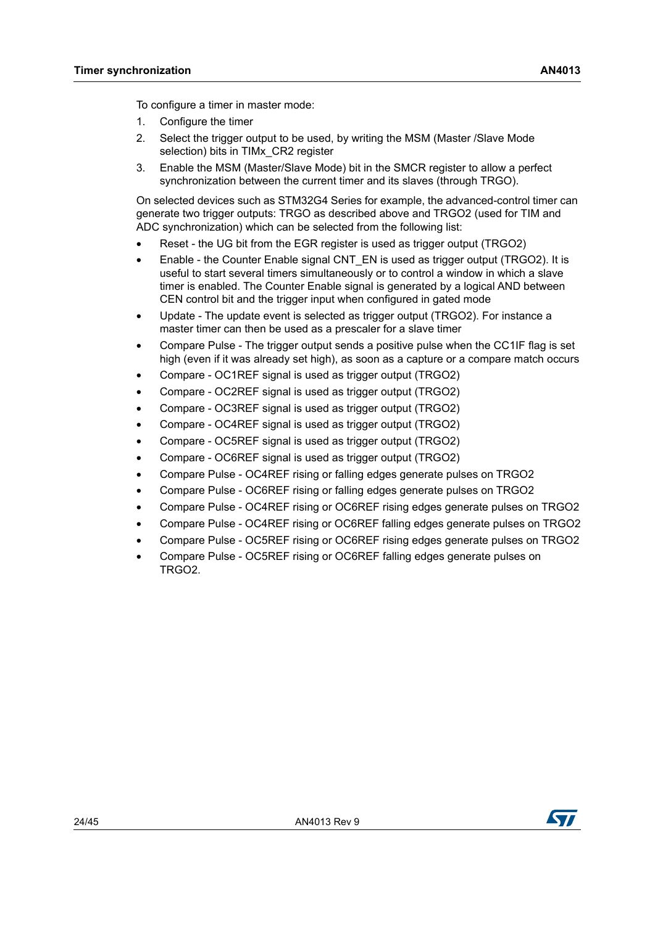To configure a timer in master mode:

- 1. Configure the timer
- 2. Select the trigger output to be used, by writing the MSM (Master /Slave Mode selection) bits in TIMx\_CR2 register
- 3. Enable the MSM (Master/Slave Mode) bit in the SMCR register to allow a perfect synchronization between the current timer and its slaves (through TRGO).

On selected devices such as STM32G4 Series for example, the advanced-control timer can generate two trigger outputs: TRGO as described above and TRGO2 (used for TIM and ADC synchronization) which can be selected from the following list:

- Reset the UG bit from the EGR register is used as trigger output (TRGO2)
- Enable the Counter Enable signal CNT\_EN is used as trigger output (TRGO2). It is useful to start several timers simultaneously or to control a window in which a slave timer is enabled. The Counter Enable signal is generated by a logical AND between CEN control bit and the trigger input when configured in gated mode
- Update The update event is selected as trigger output (TRGO2). For instance a master timer can then be used as a prescaler for a slave timer
- Compare Pulse The trigger output sends a positive pulse when the CC1IF flag is set high (even if it was already set high), as soon as a capture or a compare match occurs
- Compare OC1REF signal is used as trigger output (TRGO2)
- Compare OC2REF signal is used as trigger output (TRGO2)
- Compare OC3REF signal is used as trigger output (TRGO2)
- Compare OC4REF signal is used as trigger output (TRGO2)
- Compare OC5REF signal is used as trigger output (TRGO2)
- Compare OC6REF signal is used as trigger output (TRGO2)
- Compare Pulse OC4REF rising or falling edges generate pulses on TRGO2
- Compare Pulse OC6REF rising or falling edges generate pulses on TRGO2
- Compare Pulse OC4REF rising or OC6REF rising edges generate pulses on TRGO2
- Compare Pulse OC4REF rising or OC6REF falling edges generate pulses on TRGO2
- Compare Pulse OC5REF rising or OC6REF rising edges generate pulses on TRGO2
- Compare Pulse OC5REF rising or OC6REF falling edges generate pulses on TRGO2.

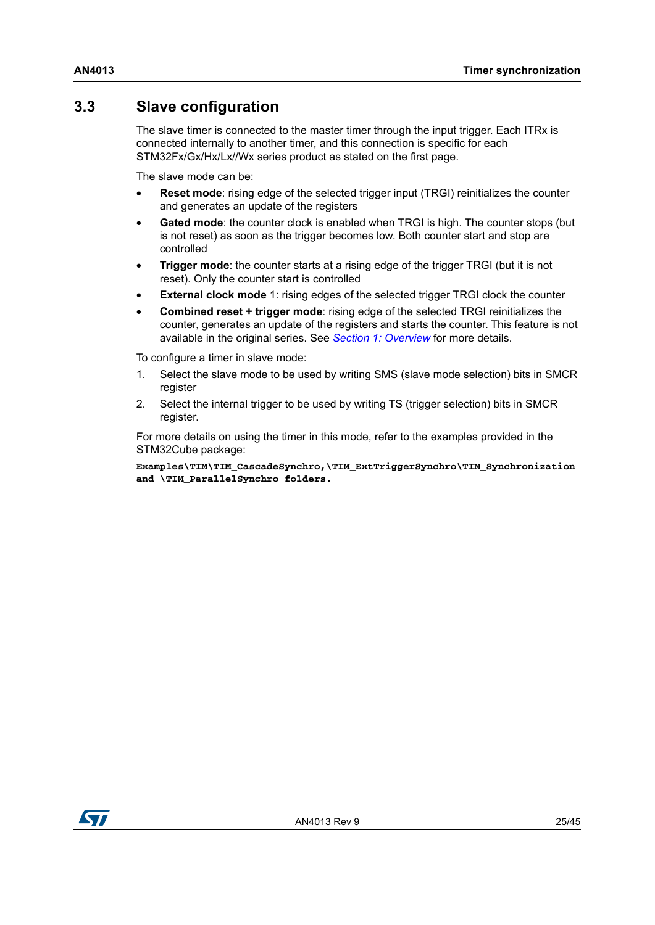### <span id="page-24-0"></span>**3.3 Slave configuration**

The slave timer is connected to the master timer through the input trigger. Each ITRx is connected internally to another timer, and this connection is specific for each STM32Fx/Gx/Hx/Lx//Wx series product as stated on the first page.

The slave mode can be:

- **Reset mode:** rising edge of the selected trigger input (TRGI) reinitializes the counter and generates an update of the registers
- Gated mode: the counter clock is enabled when TRGI is high. The counter stops (but is not reset) as soon as the trigger becomes low. Both counter start and stop are controlled
- **Trigger mode:** the counter starts at a rising edge of the trigger TRGI (but it is not reset). Only the counter start is controlled
- **External clock mode** 1: rising edges of the selected trigger TRGI clock the counter
- **Combined reset + trigger mode**: rising edge of the selected TRGI reinitializes the counter, generates an update of the registers and starts the counter. This feature is not available in the original series. See *[Section 1: Overview](#page-5-0)* for more details.

To configure a timer in slave mode:

- 1. Select the slave mode to be used by writing SMS (slave mode selection) bits in SMCR register
- 2. Select the internal trigger to be used by writing TS (trigger selection) bits in SMCR register.

For more details on using the timer in this mode, refer to the examples provided in the STM32Cube package:

**Examples\TIM\TIM\_CascadeSynchro,\TIM\_ExtTriggerSynchro\TIM\_Synchronization and \TIM\_ParallelSynchro folders.**

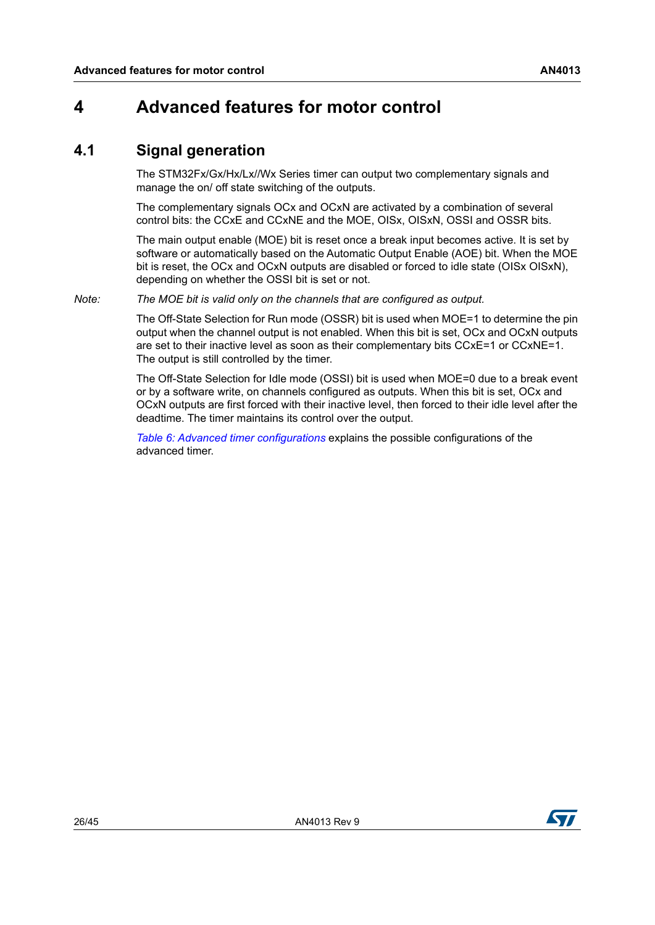## <span id="page-25-0"></span>**4 Advanced features for motor control**

### <span id="page-25-1"></span>**4.1 Signal generation**

The STM32Fx/Gx/Hx/Lx//Wx Series timer can output two complementary signals and manage the on/ off state switching of the outputs.

The complementary signals OCx and OCxN are activated by a combination of several control bits: the CCxE and CCxNE and the MOE, OISx, OISxN, OSSI and OSSR bits.

The main output enable (MOE) bit is reset once a break input becomes active. It is set by software or automatically based on the Automatic Output Enable (AOE) bit. When the MOE bit is reset, the OCx and OCxN outputs are disabled or forced to idle state (OISx OISxN), depending on whether the OSSI bit is set or not.

*Note: The MOE bit is valid only on the channels that are configured as output.*

The Off-State Selection for Run mode (OSSR) bit is used when MOE=1 to determine the pin output when the channel output is not enabled. When this bit is set, OCx and OCxN outputs are set to their inactive level as soon as their complementary bits CCxE=1 or CCxNE=1. The output is still controlled by the timer.

The Off-State Selection for Idle mode (OSSI) bit is used when MOE=0 due to a break event or by a software write, on channels configured as outputs. When this bit is set, OCx and OCxN outputs are first forced with their inactive level, then forced to their idle level after the deadtime. The timer maintains its control over the output.

*Table [6: Advanced timer configurations](#page-26-0)* explains the possible configurations of the advanced timer.

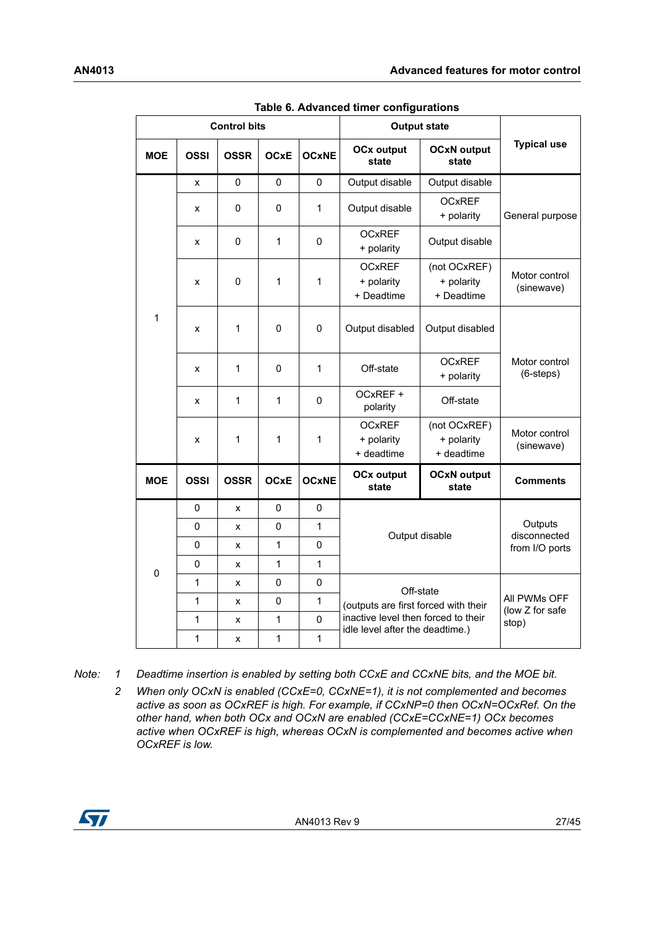<span id="page-26-0"></span>

|             |                          | <b>Control bits</b> |                                           |                                          | <b>Output state</b>                                                                   |                             |                                     |  |
|-------------|--------------------------|---------------------|-------------------------------------------|------------------------------------------|---------------------------------------------------------------------------------------|-----------------------------|-------------------------------------|--|
| <b>MOE</b>  | <b>OSSI</b>              | <b>OSSR</b>         | <b>OCxE</b>                               | <b>OCxNE</b>                             | <b>OCxN output</b><br><b>OCx output</b><br>state<br>state                             |                             | <b>Typical use</b>                  |  |
|             | X                        | $\mathbf 0$         | 0                                         | 0                                        | Output disable                                                                        | Output disable              |                                     |  |
|             | x                        | 0                   | 0                                         | 1                                        | Output disable                                                                        | <b>OCxREF</b><br>+ polarity | General purpose                     |  |
|             | 0<br>x                   |                     | 1                                         | $\pmb{0}$                                | <b>OCxREF</b><br>Output disable<br>+ polarity                                         |                             |                                     |  |
|             | $\pmb{0}$<br>1<br>1<br>X |                     | <b>OCxREF</b><br>+ polarity<br>+ Deadtime | (not OCxREF)<br>+ polarity<br>+ Deadtime | Motor control<br>(sinewave)                                                           |                             |                                     |  |
| 1           | x                        | $\mathbf{1}$        | 0                                         | 0                                        | Output disabled                                                                       | Output disabled             |                                     |  |
|             | x                        | $\mathbf{1}$        | 0                                         | 1                                        | <b>OCxREF</b><br>Off-state<br>+ polarity                                              |                             | Motor control<br>$(6\text{-steps})$ |  |
|             | x                        | $\mathbf{1}$        | 1                                         | 0                                        | OCxREF +<br>Off-state<br>polarity                                                     |                             |                                     |  |
|             | x                        | $\mathbf{1}$        | 1                                         | 1                                        | <b>OCxREF</b><br>(not OCxREF)<br>+ polarity<br>+ polarity<br>+ deadtime<br>+ deadtime |                             | Motor control<br>(sinewave)         |  |
| <b>MOE</b>  | <b>OSSI</b>              | <b>OSSR</b>         | <b>OCxE</b>                               | <b>OCxNE</b>                             | <b>OCx output</b><br>state                                                            | <b>OCxN output</b><br>state | <b>Comments</b>                     |  |
|             | 0                        | X                   | 0                                         | 0                                        |                                                                                       |                             |                                     |  |
|             | $\mathbf 0$              | X                   | 0                                         | $\mathbf{1}$                             |                                                                                       | Output disable              | Outputs<br>disconnected             |  |
|             | $\pmb{0}$                | x                   | 1                                         | $\pmb{0}$                                |                                                                                       |                             | from I/O ports                      |  |
| $\mathbf 0$ | 0                        | x                   | 1                                         | 1                                        |                                                                                       |                             |                                     |  |
|             | $\mathbf{1}$             | x                   | $\mathbf 0$                               | $\pmb{0}$                                |                                                                                       | Off-state                   |                                     |  |
|             | 1                        | x                   | $\pmb{0}$                                 | 1                                        | (outputs are first forced with their                                                  |                             | All PWMs OFF<br>(low Z for safe     |  |
|             | 1                        | Χ                   | 1                                         | $\pmb{0}$                                | inactive level then forced to their<br>idle level after the deadtime.)                |                             | stop)                               |  |
|             | 1                        | x                   | 1                                         | $\mathbf{1}$                             |                                                                                       |                             |                                     |  |

**Table 6. Advanced timer configurations** 

*Note: 1 Deadtime insertion is enabled by setting both CCxE and CCxNE bits, and the MOE bit.*

*2 When only OCxN is enabled (CCxE=0, CCxNE=1), it is not complemented and becomes active as soon as OCxREF is high. For example, if CCxNP=0 then OCxN=OCxRef. On the other hand, when both OCx and OCxN are enabled (CCxE=CCxNE=1) OCx becomes active when OCxREF is high, whereas OCxN is complemented and becomes active when OCxREF is low.*

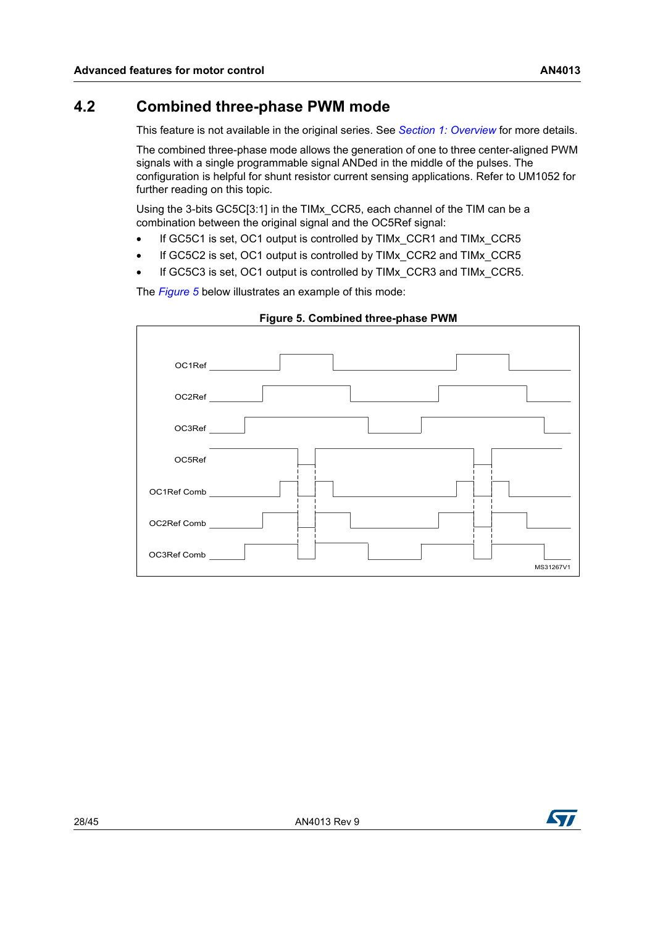<span id="page-27-0"></span>This feature is not available in the original series. See *Section [1: Overview](#page-5-0)* for more details.

The combined three-phase mode allows the generation of one to three center-aligned PWM signals with a single programmable signal ANDed in the middle of the pulses. The configuration is helpful for shunt resistor current sensing applications. Refer to UM1052 for further reading on this topic.

Using the 3-bits GC5C[3:1] in the TIMx\_CCR5, each channel of the TIM can be a combination between the original signal and the OC5Ref signal:

- If GC5C1 is set, OC1 output is controlled by TIMx\_CCR1 and TIMx\_CCR5
- If GC5C2 is set, OC1 output is controlled by TIMx\_CCR2 and TIMx\_CCR5
- If GC5C3 is set, OC1 output is controlled by TIMx\_CCR3 and TIMx\_CCR5.

The *[Figure](#page-27-1) 5* below illustrates an example of this mode:

<span id="page-27-1"></span>

#### **Figure 5. Combined three-phase PWM**

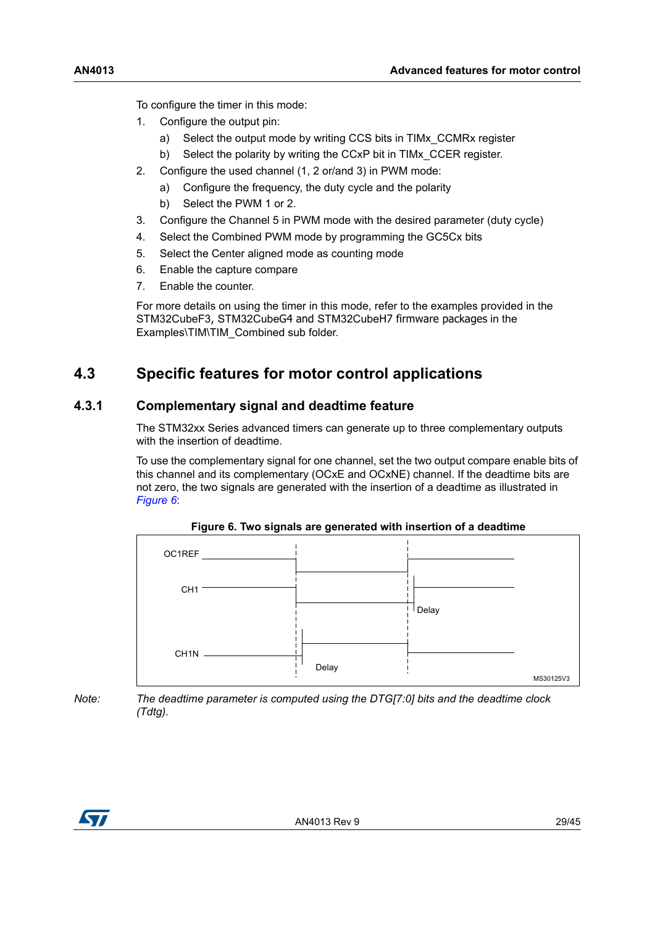To configure the timer in this mode:

- 1. Configure the output pin:
	- a) Select the output mode by writing CCS bits in TIMx\_CCMRx register
	- b) Select the polarity by writing the CCxP bit in TIMx\_CCER register.
- 2. Configure the used channel (1, 2 or/and 3) in PWM mode:
	- a) Configure the frequency, the duty cycle and the polarity
	- b) Select the PWM 1 or 2.
- 3. Configure the Channel 5 in PWM mode with the desired parameter (duty cycle)
- 4. Select the Combined PWM mode by programming the GC5Cx bits
- 5. Select the Center aligned mode as counting mode
- 6. Enable the capture compare
- 7. Enable the counter.

For more details on using the timer in this mode, refer to the examples provided in the STM32CubeF3, STM32CubeG4 and STM32CubeH7 firmware packages in the Examples\TIM\TIM\_Combined sub folder.

### <span id="page-28-0"></span>**4.3 Specific features for motor control applications**

### <span id="page-28-1"></span>**4.3.1 Complementary signal and deadtime feature**

The STM32xx Series advanced timers can generate up to three complementary outputs with the insertion of deadtime.

To use the complementary signal for one channel, set the two output compare enable bits of this channel and its complementary (OCxE and OCxNE) channel. If the deadtime bits are not zero, the two signals are generated with the insertion of a deadtime as illustrated in *[Figure](#page-28-2) 6*:

<span id="page-28-2"></span>

**Figure 6. Two signals are generated with insertion of a deadtime**

*Note: The deadtime parameter is computed using the DTG[7:0] bits and the deadtime clock (Tdtg).*

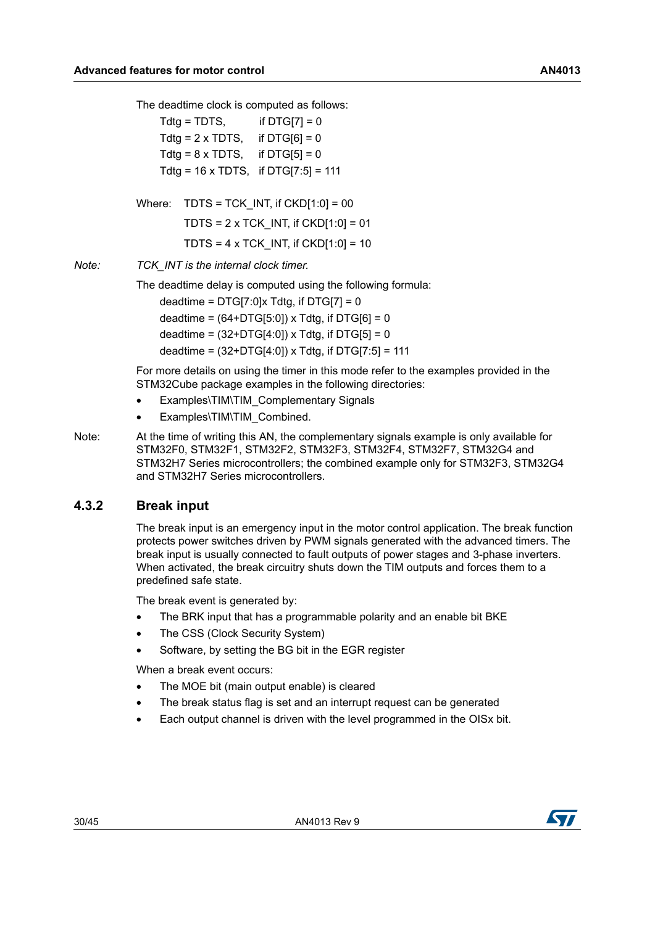The deadtime clock is computed as follows:

 $Tdtg = TDTS$ , if  $DTG[7] = 0$ Tdtg =  $2 \times T$ DTS, if DTG[6] = 0 Tdtg =  $8 \times T$ DTS, if DTG[5] = 0 Tdtg =  $16 \times T$ DTS, if DTG[7:5] =  $111$ *Note: TCK\_INT is the internal clock timer.* The deadtime delay is computed using the following formula: deadtime =  $DTG[7:0]x$  Tdtg, if  $DTG[7] = 0$ deadtime =  $(64+DTG[5:0]) \times Tdtg$ , if DTG $[6] = 0$ deadtime =  $(32+DTG[4:0])$  x Tdtg, if DTG[5] = 0 deadtime =  $(32+DTG[4:0])$  x Tdtg, if DTG[7:5] = 111 Where:  $T์DTS = TCK$  INT, if  $CKD[1:0] = 00$ TDTS =  $2 \times TCK$  INT, if CKD[1:0] = 01 TDTS =  $4 \times TCK$  INT, if CKD[1:0] = 10

> For more details on using the timer in this mode refer to the examples provided in the STM32Cube package examples in the following directories:

- Examples\TIM\TIM\_Complementary Signals
- Examples\TIM\TIM\_Combined.
- Note: At the time of writing this AN, the complementary signals example is only available for STM32F0, STM32F1, STM32F2, STM32F3, STM32F4, STM32F7, STM32G4 and STM32H7 Series microcontrollers; the combined example only for STM32F3, STM32G4 and STM32H7 Series microcontrollers.

#### <span id="page-29-0"></span>**4.3.2 Break input**

The break input is an emergency input in the motor control application. The break function protects power switches driven by PWM signals generated with the advanced timers. The break input is usually connected to fault outputs of power stages and 3-phase inverters. When activated, the break circuitry shuts down the TIM outputs and forces them to a predefined safe state.

The break event is generated by:

- The BRK input that has a programmable polarity and an enable bit BKE
- The CSS (Clock Security System)
- Software, by setting the BG bit in the EGR register

When a break event occurs:

- The MOE bit (main output enable) is cleared
- The break status flag is set and an interrupt request can be generated
- Each output channel is driven with the level programmed in the OISx bit.

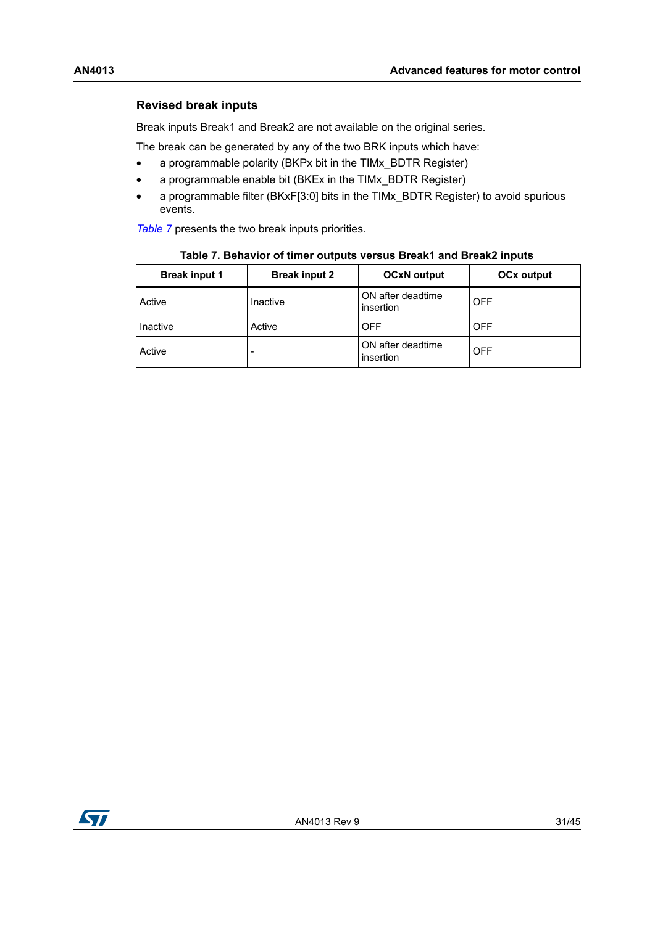### **Revised break inputs**

Break inputs Break1 and Break2 are not available on the original series.

The break can be generated by any of the two BRK inputs which have:

- a programmable polarity (BKPx bit in the TIMx\_BDTR Register)
- a programmable enable bit (BKEx in the TIMx\_BDTR Register)
- a programmable filter (BKxF[3:0] bits in the TIMx\_BDTR Register) to avoid spurious events.

*[Table](#page-30-0) 7* presents the two break inputs priorities.

<span id="page-30-0"></span>

| <b>Break input 1</b> | <b>Break input 2</b> | <b>OCxN</b> output             | <b>OCx output</b> |
|----------------------|----------------------|--------------------------------|-------------------|
| Active               | Inactive             | ON after deadtime<br>insertion | <b>OFF</b>        |
| Inactive             | Active               | <b>OFF</b>                     | <b>OFF</b>        |
| Active               | -                    | ON after deadtime<br>insertion | <b>OFF</b>        |

| Table 7. Behavior of timer outputs versus Break1 and Break2 inputs |  |
|--------------------------------------------------------------------|--|
|--------------------------------------------------------------------|--|

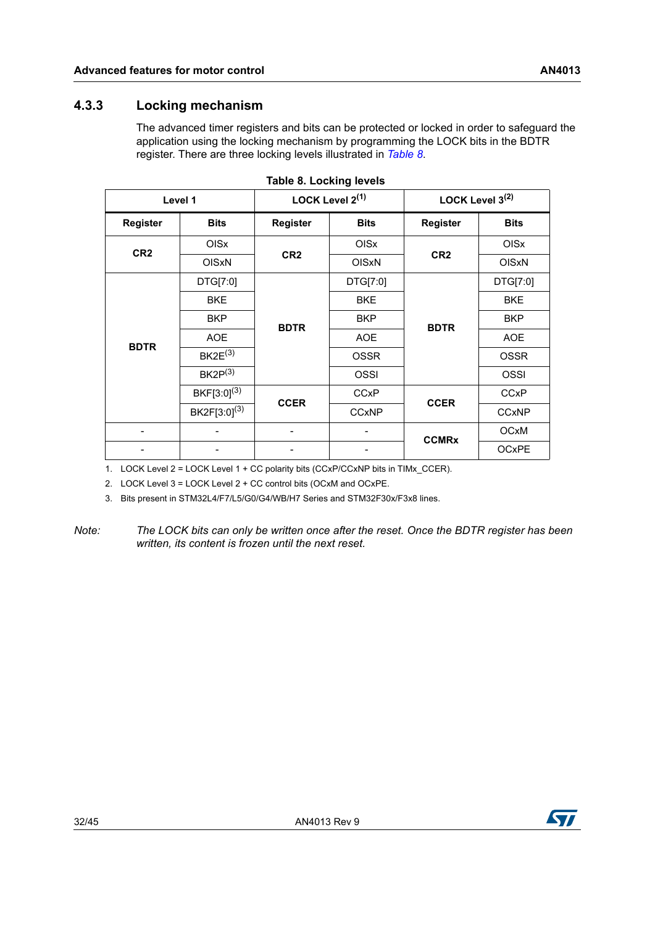### <span id="page-31-0"></span>**4.3.3 Locking mechanism**

The advanced timer registers and bits can be protected or locked in order to safeguard the application using the locking mechanism by programming the LOCK bits in the BDTR register. There are three locking levels illustrated in *[Table](#page-31-1) 8*.

<span id="page-31-1"></span>

| Level 1         |                          | LOCK Level 2(1) |              | LOCK Level $3^{(2)}$ |              |
|-----------------|--------------------------|-----------------|--------------|----------------------|--------------|
| Register        | <b>Bits</b>              | <b>Register</b> | <b>Bits</b>  | <b>Register</b>      | <b>Bits</b>  |
| CR <sub>2</sub> | <b>OIS<sub>x</sub></b>   | CR <sub>2</sub> | OISx         | CR <sub>2</sub>      | OISx         |
|                 | <b>OISxN</b>             |                 | <b>OISxN</b> |                      | <b>OISxN</b> |
| <b>BDTR</b>     | DTG[7:0]                 | <b>BDTR</b>     | DTG[7:0]     | <b>BDTR</b>          | DTG[7:0]     |
|                 | <b>BKE</b>               |                 | <b>BKE</b>   |                      | <b>BKE</b>   |
|                 | <b>BKP</b>               |                 | <b>BKP</b>   |                      | <b>BKP</b>   |
|                 | <b>AOE</b>               |                 | <b>AOE</b>   |                      | <b>AOE</b>   |
|                 | $BK2E^{(3)}$             |                 | <b>OSSR</b>  |                      | <b>OSSR</b>  |
|                 | $BK2P^{(3)}$             |                 | <b>OSSI</b>  |                      | OSSI         |
|                 | $BKF[3:0]^{(3)}$         | <b>CCER</b>     | <b>CCxP</b>  | <b>CCER</b>          | <b>CCxP</b>  |
|                 | BK2F[3:0] <sup>(3)</sup> |                 | <b>CCxNP</b> |                      | <b>CCxNP</b> |
|                 |                          |                 |              | <b>CCMRx</b>         | <b>OCxM</b>  |
|                 |                          |                 |              |                      | <b>OCxPE</b> |

|  | Table 8. Locking levels |  |
|--|-------------------------|--|
|  |                         |  |

1. LOCK Level 2 = LOCK Level 1 + CC polarity bits (CCxP/CCxNP bits in TIMx\_CCER).

2. LOCK Level 3 = LOCK Level 2 + CC control bits (OCxM and OCxPE.

<span id="page-31-2"></span>3. Bits present in STM32L4/F7/L5/G0/G4/WB/H7 Series and STM32F30x/F3x8 lines.

*Note: The LOCK bits can only be written once after the reset. Once the BDTR register has been written, its content is frozen until the next reset.*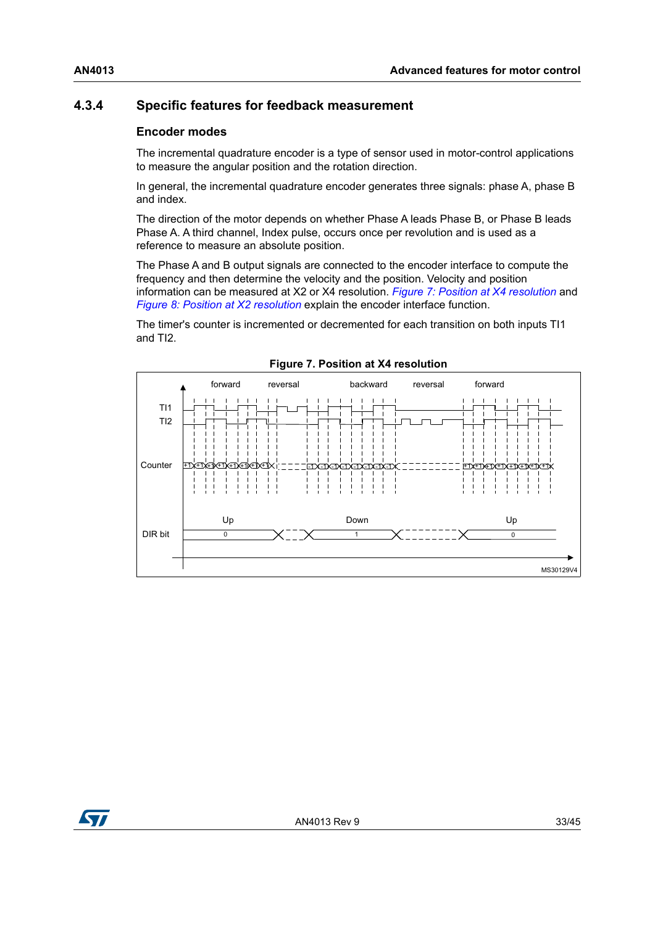### <span id="page-32-0"></span>**4.3.4 Specific features for feedback measurement**

### **Encoder modes**

The incremental quadrature encoder is a type of sensor used in motor-control applications to measure the angular position and the rotation direction.

In general, the incremental quadrature encoder generates three signals: phase A, phase B and index.

The direction of the motor depends on whether Phase A leads Phase B, or Phase B leads Phase A. A third channel, Index pulse, occurs once per revolution and is used as a reference to measure an absolute position.

The Phase A and B output signals are connected to the encoder interface to compute the frequency and then determine the velocity and the position. Velocity and position information can be measured at X2 or X4 resolution. *Figure [7: Position at X4 resolution](#page-32-1)* and *Figure [8: Position at X2 resolution](#page-33-0)* explain the encoder interface function.

The timer's counter is incremented or decremented for each transition on both inputs TI1 and TI2.

<span id="page-32-1"></span>

**Figure 7. Position at X4 resolution**

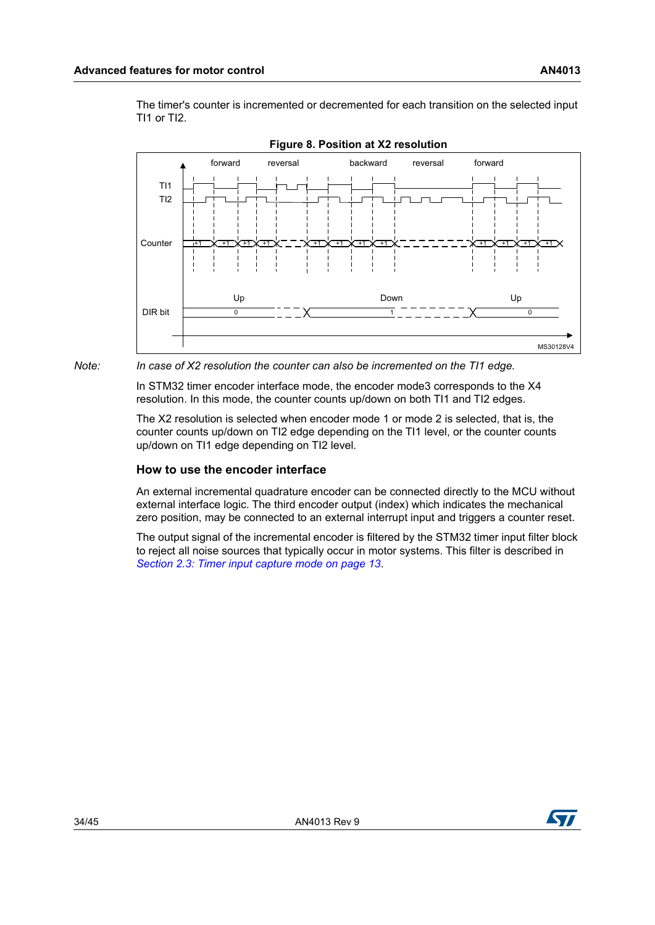The timer's counter is incremented or decremented for each transition on the selected input TI1 or TI2.

<span id="page-33-0"></span>



*Note: In case of X2 resolution the counter can also be incremented on the TI1 edge.* 

In STM32 timer encoder interface mode, the encoder mode3 corresponds to the X4 resolution. In this mode, the counter counts up/down on both TI1 and TI2 edges.

The X2 resolution is selected when encoder mode 1 or mode 2 is selected, that is, the counter counts up/down on TI2 edge depending on the TI1 level, or the counter counts up/down on TI1 edge depending on TI2 level.

#### **How to use the encoder interface**

An external incremental quadrature encoder can be connected directly to the MCU without external interface logic. The third encoder output (index) which indicates the mechanical zero position, may be connected to an external interrupt input and triggers a counter reset.

The output signal of the incremental encoder is filtered by the STM32 timer input filter block to reject all noise sources that typically occur in motor systems. This filter is described in *Section [2.3: Timer input capture mode on page](#page-12-0) 13*.

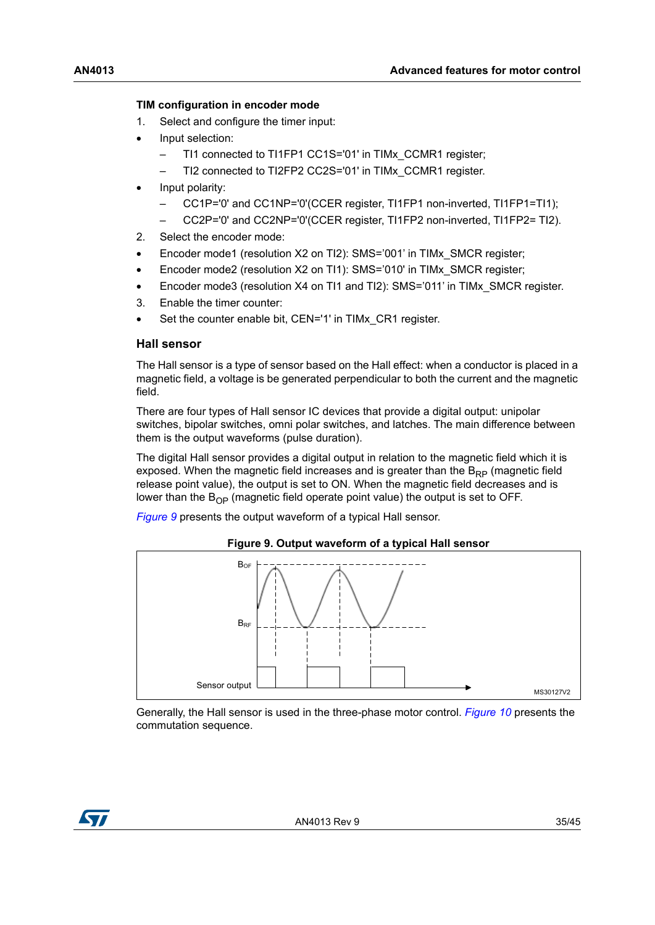#### **TIM configuration in encoder mode**

- 1. Select and configure the timer input:
- Input selection:
	- TI1 connected to TI1FP1 CC1S='01' in TIMx\_CCMR1 register;
	- TI2 connected to TI2FP2 CC2S='01' in TIMx\_CCMR1 register.
- Input polarity:
	- CC1P='0' and CC1NP='0'(CCER register, TI1FP1 non-inverted, TI1FP1=TI1);
	- CC2P='0' and CC2NP='0'(CCER register, TI1FP2 non-inverted, TI1FP2= TI2).
- 2. Select the encoder mode:
- Encoder mode1 (resolution X2 on TI2): SMS='001' in TIMx\_SMCR register;
- Encoder mode2 (resolution X2 on TI1): SMS='010' in TIMx\_SMCR register;
- Encoder mode3 (resolution X4 on TI1 and TI2): SMS='011' in TIMx\_SMCR register.
- 3. Enable the timer counter:
- Set the counter enable bit, CEN='1' in TIMx CR1 register.

#### **Hall sensor**

The Hall sensor is a type of sensor based on the Hall effect: when a conductor is placed in a magnetic field, a voltage is be generated perpendicular to both the current and the magnetic field.

There are four types of Hall sensor IC devices that provide a digital output: unipolar switches, bipolar switches, omni polar switches, and latches. The main difference between them is the output waveforms (pulse duration).

The digital Hall sensor provides a digital output in relation to the magnetic field which it is exposed. When the magnetic field increases and is greater than the  $B_{RP}$  (magnetic field release point value), the output is set to ON. When the magnetic field decreases and is lower than the  $B_{OP}$  (magnetic field operate point value) the output is set to OFF.

*[Figure](#page-34-0) 9* presents the output waveform of a typical Hall sensor.

<span id="page-34-0"></span>

**Figure 9. Output waveform of a typical Hall sensor**

Generally, the Hall sensor is used in the three-phase motor control. *[Figure](#page-35-0) 10* presents the commutation sequence.

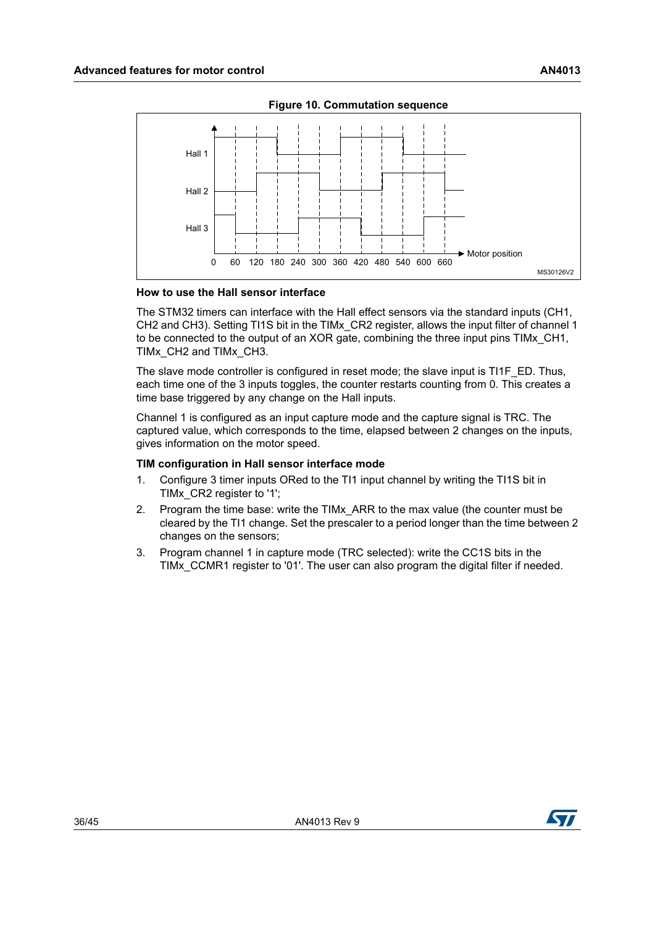<span id="page-35-0"></span>

**Figure 10. Commutation sequence**

#### **How to use the Hall sensor interface**

The STM32 timers can interface with the Hall effect sensors via the standard inputs (CH1, CH2 and CH3). Setting TI1S bit in the TIMx\_CR2 register, allows the input filter of channel 1 to be connected to the output of an XOR gate, combining the three input pins TIMx\_CH1, TIMx\_CH2 and TIMx\_CH3.

The slave mode controller is configured in reset mode; the slave input is TI1F\_ED. Thus, each time one of the 3 inputs toggles, the counter restarts counting from 0. This creates a time base triggered by any change on the Hall inputs.

Channel 1 is configured as an input capture mode and the capture signal is TRC. The captured value, which corresponds to the time, elapsed between 2 changes on the inputs, gives information on the motor speed.

#### **TIM configuration in Hall sensor interface mode**

- 1. Configure 3 timer inputs ORed to the TI1 input channel by writing the TI1S bit in TIMx\_CR2 register to '1';
- 2. Program the time base: write the TIMx\_ARR to the max value (the counter must be cleared by the TI1 change. Set the prescaler to a period longer than the time between 2 changes on the sensors;
- 3. Program channel 1 in capture mode (TRC selected): write the CC1S bits in the TIMx\_CCMR1 register to '01'. The user can also program the digital filter if needed.

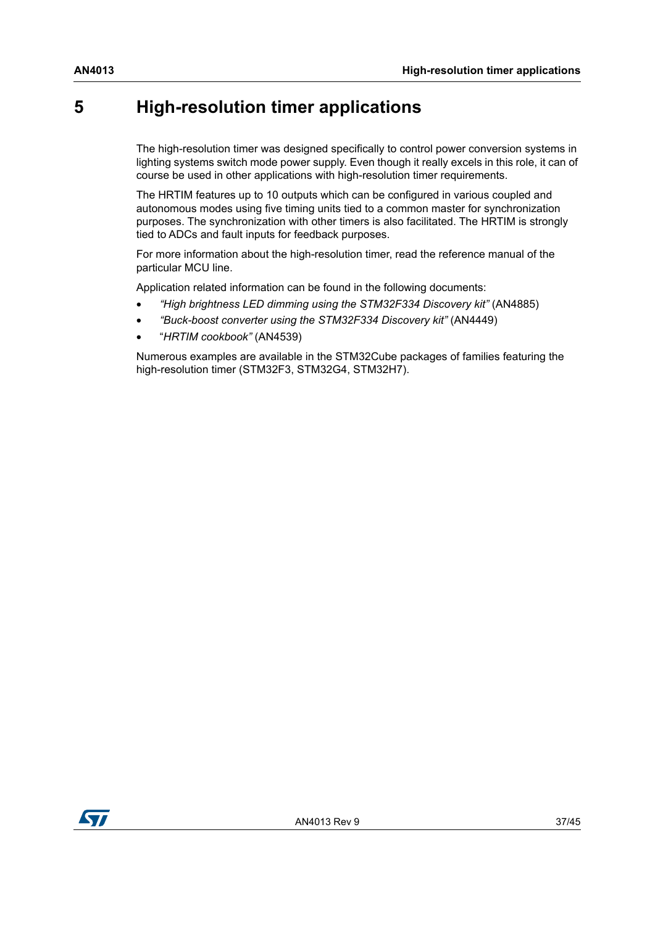## <span id="page-36-0"></span>**5 High-resolution timer applications**

The high-resolution timer was designed specifically to control power conversion systems in lighting systems switch mode power supply. Even though it really excels in this role, it can of course be used in other applications with high-resolution timer requirements.

The HRTIM features up to 10 outputs which can be configured in various coupled and autonomous modes using five timing units tied to a common master for synchronization purposes. The synchronization with other timers is also facilitated. The HRTIM is strongly tied to ADCs and fault inputs for feedback purposes.

For more information about the high-resolution timer, read the reference manual of the particular MCU line.

Application related information can be found in the following documents:

- *"High brightness LED dimming using the STM32F334 Discovery kit"* (AN4885)
- *"Buck-boost converter using the STM32F334 Discovery kit"* (AN4449)
- "*HRTIM cookbook"* (AN4539)

Numerous examples are available in the STM32Cube packages of families featuring the high-resolution timer (STM32F3, STM32G4, STM32H7).

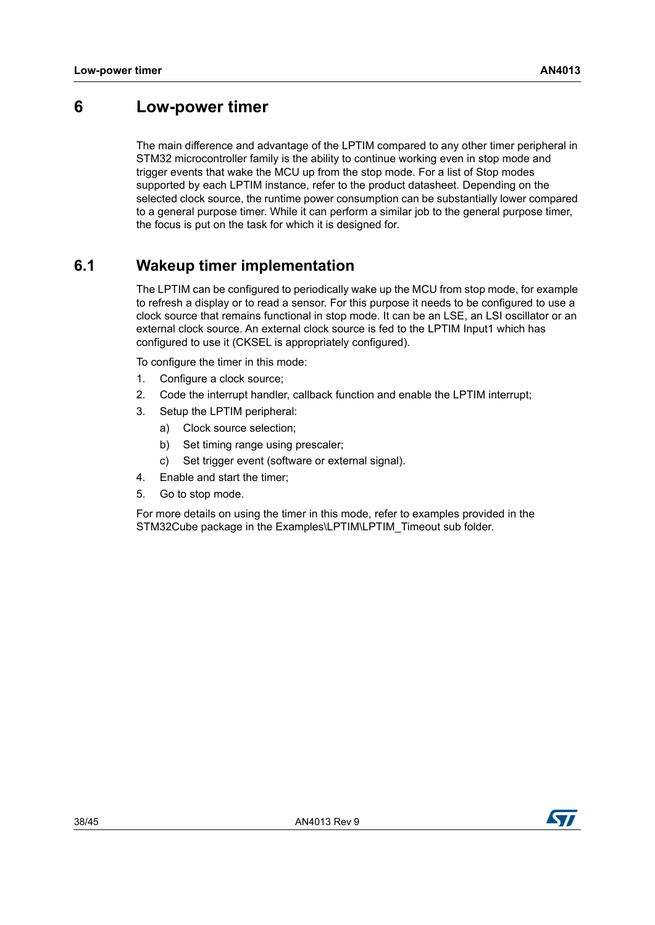### <span id="page-37-0"></span>**6 Low-power timer**

The main difference and advantage of the LPTIM compared to any other timer peripheral in STM32 microcontroller family is the ability to continue working even in stop mode and trigger events that wake the MCU up from the stop mode. For a list of Stop modes supported by each LPTIM instance, refer to the product datasheet. Depending on the selected clock source, the runtime power consumption can be substantially lower compared to a general purpose timer. While it can perform a similar job to the general purpose timer, the focus is put on the task for which it is designed for.

### <span id="page-37-1"></span>**6.1 Wakeup timer implementation**

The LPTIM can be configured to periodically wake up the MCU from stop mode, for example to refresh a display or to read a sensor. For this purpose it needs to be configured to use a clock source that remains functional in stop mode. It can be an LSE, an LSI oscillator or an external clock source. An external clock source is fed to the LPTIM Input1 which has configured to use it (CKSEL is appropriately configured).

To configure the timer in this mode:

- 1. Configure a clock source;
- 2. Code the interrupt handler, callback function and enable the LPTIM interrupt;
- 3. Setup the LPTIM peripheral:
	- a) Clock source selection;
	- b) Set timing range using prescaler;
	- c) Set trigger event (software or external signal).
- 4. Enable and start the timer;
- 5. Go to stop mode.

For more details on using the timer in this mode, refer to examples provided in the STM32Cube package in the Examples\LPTIM\LPTIM\_Timeout sub folder.

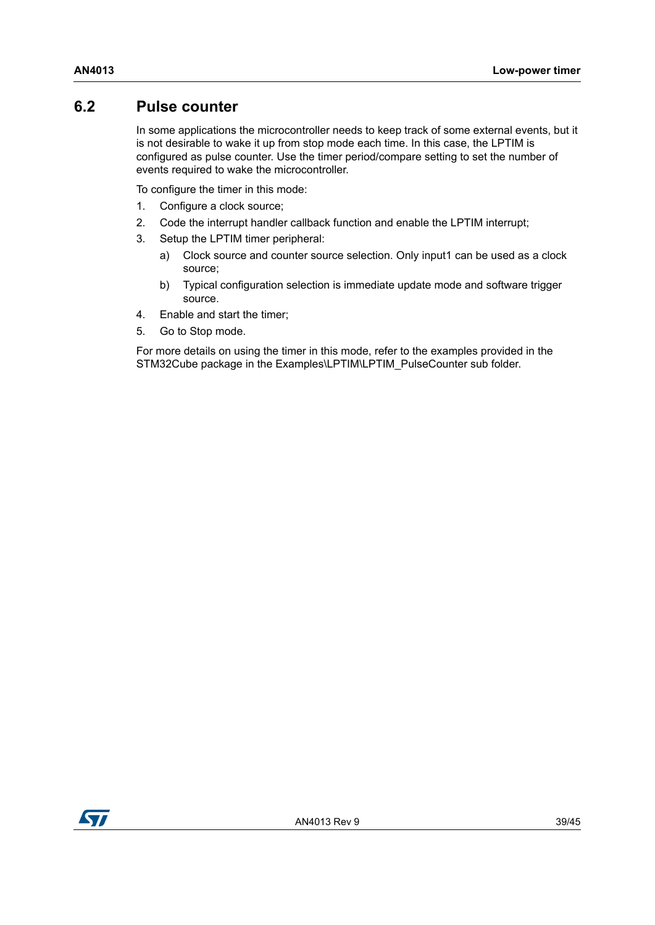### <span id="page-38-0"></span>**6.2 Pulse counter**

In some applications the microcontroller needs to keep track of some external events, but it is not desirable to wake it up from stop mode each time. In this case, the LPTIM is configured as pulse counter. Use the timer period/compare setting to set the number of events required to wake the microcontroller.

To configure the timer in this mode:

- 1. Configure a clock source;
- 2. Code the interrupt handler callback function and enable the LPTIM interrupt;
- 3. Setup the LPTIM timer peripheral:
	- a) Clock source and counter source selection. Only input1 can be used as a clock source;
	- b) Typical configuration selection is immediate update mode and software trigger source.
- 4. Enable and start the timer;
- 5. Go to Stop mode.

For more details on using the timer in this mode, refer to the examples provided in the STM32Cube package in the Examples\LPTIM\LPTIM\_PulseCounter sub folder.

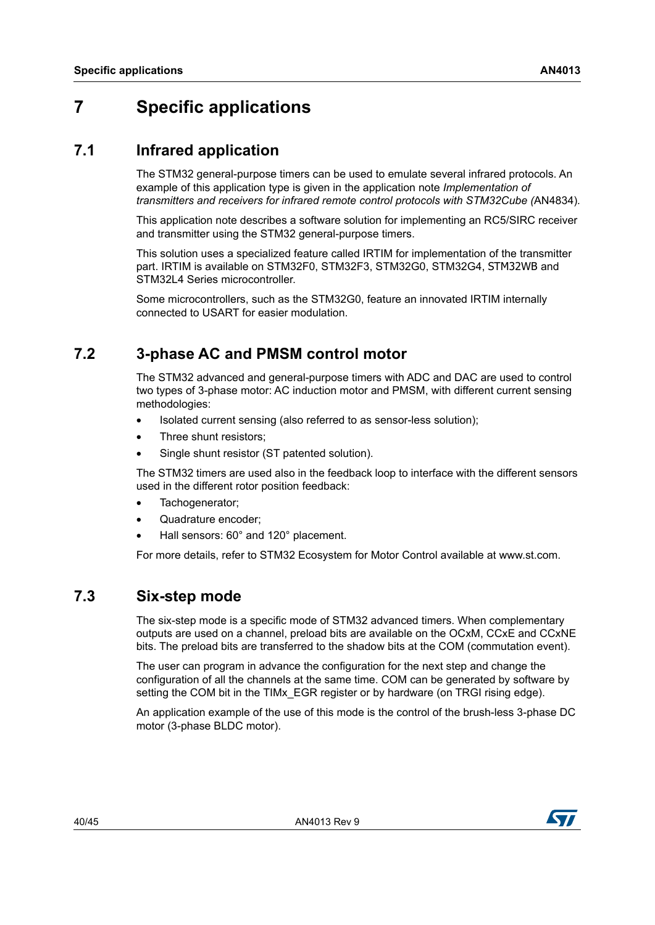# <span id="page-39-0"></span>**7 Specific applications**

### <span id="page-39-1"></span>**7.1 Infrared application**

The STM32 general-purpose timers can be used to emulate several infrared protocols. An example of this application type is given in the application note *Implementation of transmitters and receivers for infrared remote control protocols with STM32Cube (*AN4834)*.*

This application note describes a software solution for implementing an RC5/SIRC receiver and transmitter using the STM32 general-purpose timers.

This solution uses a specialized feature called IRTIM for implementation of the transmitter part. IRTIM is available on STM32F0, STM32F3, STM32G0, STM32G4, STM32WB and STM32L4 Series microcontroller.

Some microcontrollers, such as the STM32G0, feature an innovated IRTIM internally connected to USART for easier modulation.

### <span id="page-39-2"></span>**7.2 3-phase AC and PMSM control motor**

The STM32 advanced and general-purpose timers with ADC and DAC are used to control two types of 3-phase motor: AC induction motor and PMSM, with different current sensing methodologies:

- Isolated current sensing (also referred to as sensor-less solution);
- Three shunt resistors;
- Single shunt resistor (ST patented solution).

The STM32 timers are used also in the feedback loop to interface with the different sensors used in the different rotor position feedback:

- Tachogenerator:
- Quadrature encoder;
- Hall sensors: 60° and 120° placement.

For more details, refer to STM32 Ecosystem for Motor Control available at www.st.com.

### <span id="page-39-3"></span>**7.3 Six-step mode**

The six-step mode is a specific mode of STM32 advanced timers. When complementary outputs are used on a channel, preload bits are available on the OCxM, CCxE and CCxNE bits. The preload bits are transferred to the shadow bits at the COM (commutation event).

The user can program in advance the configuration for the next step and change the configuration of all the channels at the same time. COM can be generated by software by setting the COM bit in the TIMx EGR register or by hardware (on TRGI rising edge).

An application example of the use of this mode is the control of the brush-less 3-phase DC motor (3-phase BLDC motor).

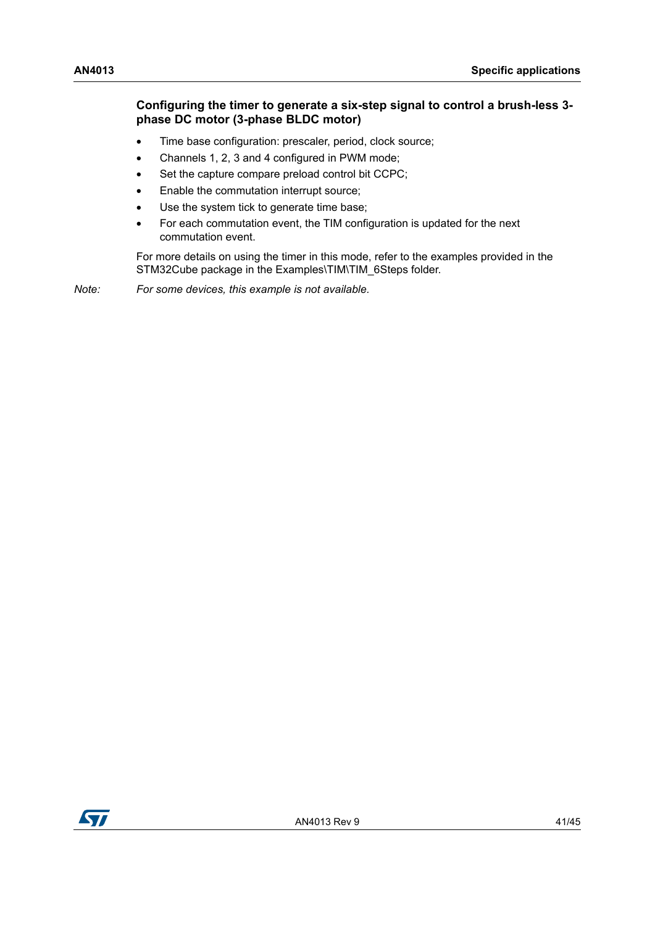### **Configuring the timer to generate a six-step signal to control a brush-less 3 phase DC motor (3-phase BLDC motor)**

- Time base configuration: prescaler, period, clock source;
- Channels 1, 2, 3 and 4 configured in PWM mode;
- Set the capture compare preload control bit CCPC;
- Enable the commutation interrupt source;
- Use the system tick to generate time base;
- For each commutation event, the TIM configuration is updated for the next commutation event.

For more details on using the timer in this mode, refer to the examples provided in the STM32Cube package in the Examples\TIM\TIM\_6Steps folder.

*Note: For some devices, this example is not available.* 

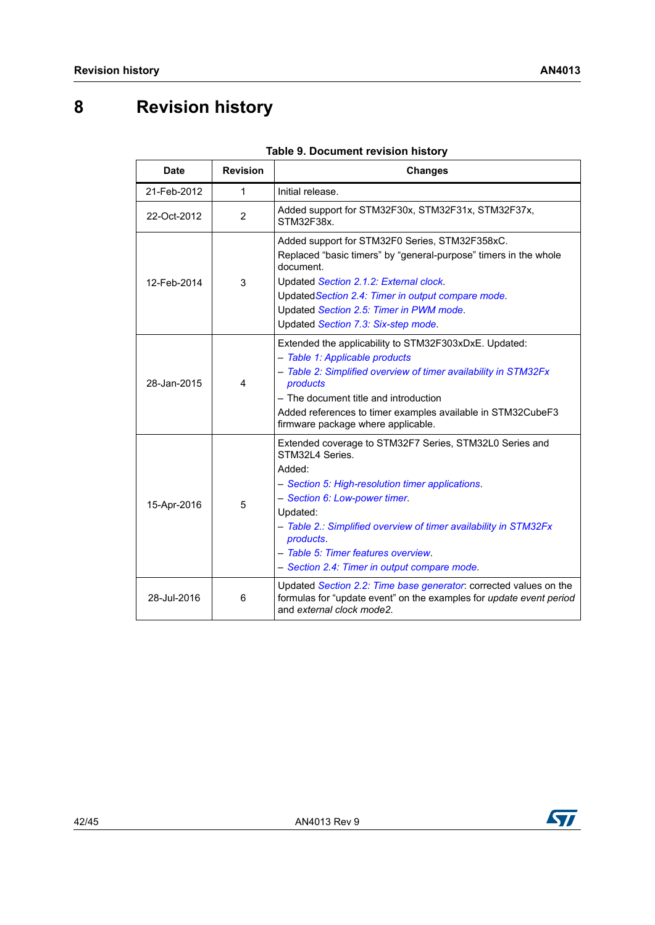# <span id="page-41-0"></span>**8 Revision history**

<span id="page-41-1"></span>

| <b>Date</b> | <b>Revision</b> | <b>Changes</b>                                                                                                                                                                                                                                                                                                                                                |  |
|-------------|-----------------|---------------------------------------------------------------------------------------------------------------------------------------------------------------------------------------------------------------------------------------------------------------------------------------------------------------------------------------------------------------|--|
| 21-Feb-2012 | 1               | Initial release.                                                                                                                                                                                                                                                                                                                                              |  |
| 22-Oct-2012 | 2               | Added support for STM32F30x, STM32F31x, STM32F37x,<br>STM32F38x                                                                                                                                                                                                                                                                                               |  |
| 12-Feb-2014 | 3               | Added support for STM32F0 Series, STM32F358xC.<br>Replaced "basic timers" by "general-purpose" timers in the whole<br>document.<br>Updated Section 2.1.2: External clock.<br>Updated Section 2.4: Timer in output compare mode.<br>Updated Section 2.5: Timer in PWM mode.<br>Updated Section 7.3: Six-step mode.                                             |  |
| 28-Jan-2015 | 4               | Extended the applicability to STM32F303xDxE. Updated:<br>- Table 1: Applicable products<br>- Table 2: Simplified overview of timer availability in STM32Fx<br>products<br>- The document title and introduction<br>Added references to timer examples available in STM32CubeF3<br>firmware package where applicable.                                          |  |
| 15-Apr-2016 | 5               | Extended coverage to STM32F7 Series, STM32L0 Series and<br>STM32L4 Series.<br>Added:<br>- Section 5: High-resolution timer applications.<br>- Section 6: Low-power timer.<br>Updated:<br>- Table 2.: Simplified overview of timer availability in STM32Fx<br>products.<br>- Table 5: Timer features overview.<br>- Section 2.4: Timer in output compare mode. |  |
| 28-Jul-2016 | 6               | Updated Section 2.2: Time base generator: corrected values on the<br>formulas for "update event" on the examples for update event period<br>and external clock mode2.                                                                                                                                                                                         |  |

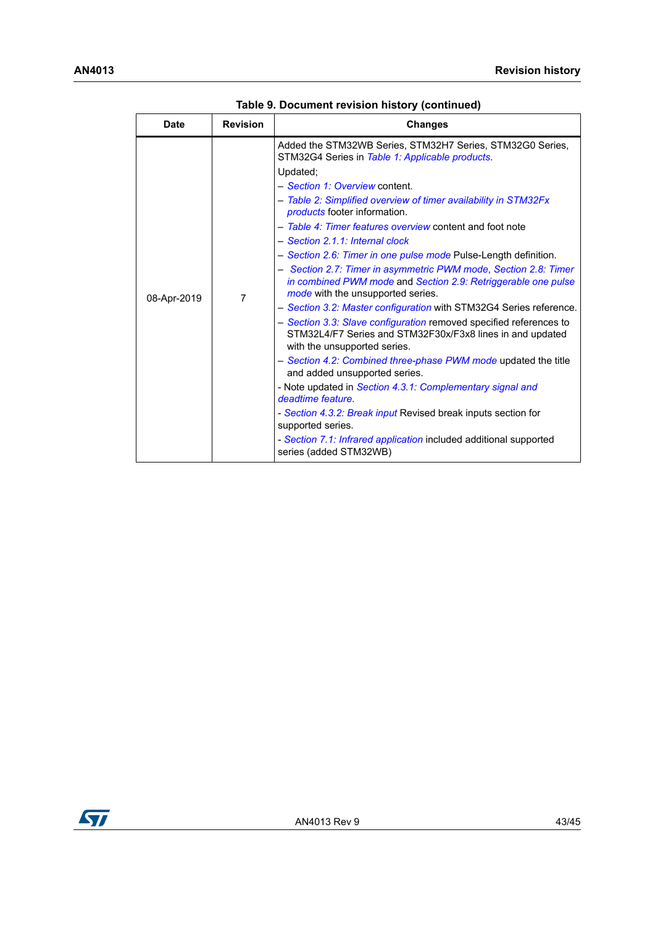| <b>Date</b> | <b>Revision</b> | <b>Changes</b>                                                                                                                                                                                                                                                                                                                                                                                                                                                                                                                                                                                                         |
|-------------|-----------------|------------------------------------------------------------------------------------------------------------------------------------------------------------------------------------------------------------------------------------------------------------------------------------------------------------------------------------------------------------------------------------------------------------------------------------------------------------------------------------------------------------------------------------------------------------------------------------------------------------------------|
| 08-Apr-2019 | 7               | Added the STM32WB Series, STM32H7 Series, STM32G0 Series,<br>STM32G4 Series in Table 1: Applicable products.<br>Updated;<br>- Section 1: Overview content.<br>- Table 2: Simplified overview of timer availability in STM32Fx<br><i>products</i> footer information.<br>- Table 4: Timer features overview content and foot note<br>- Section 2.1.1: Internal clock<br>- Section 2.6: Timer in one pulse mode Pulse-Length definition.<br>- Section 2.7: Timer in asymmetric PWM mode, Section 2.8: Timer<br>in combined PWM mode and Section 2.9: Retriggerable one pulse<br><i>mode</i> with the unsupported series. |
|             |                 | - Section 3.2: Master configuration with STM32G4 Series reference.<br>- Section 3.3: Slave configuration removed specified references to<br>STM32L4/F7 Series and STM32F30x/F3x8 lines in and updated<br>with the unsupported series.                                                                                                                                                                                                                                                                                                                                                                                  |
|             |                 | - Section 4.2: Combined three-phase PWM mode updated the title<br>and added unsupported series.                                                                                                                                                                                                                                                                                                                                                                                                                                                                                                                        |
|             |                 | - Note updated in Section 4.3.1: Complementary signal and<br>deadtime feature.                                                                                                                                                                                                                                                                                                                                                                                                                                                                                                                                         |
|             |                 | - Section 4.3.2: Break input Revised break inputs section for<br>supported series.                                                                                                                                                                                                                                                                                                                                                                                                                                                                                                                                     |
|             |                 | - Section 7.1: Infrared application included additional supported<br>series (added STM32WB)                                                                                                                                                                                                                                                                                                                                                                                                                                                                                                                            |

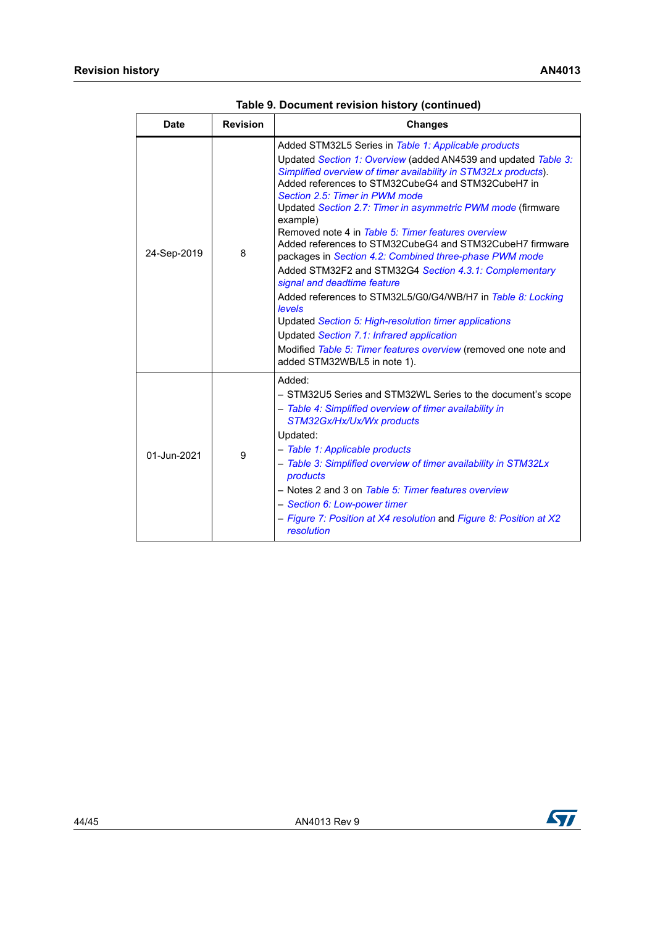| <b>Date</b> | <b>Revision</b> | <b>Changes</b>                                                                                                                                                                                                                                                                                                                                                                                                                                                                                                                                                                                                                                                                                                                                                                                                                                                                                                      |  |  |
|-------------|-----------------|---------------------------------------------------------------------------------------------------------------------------------------------------------------------------------------------------------------------------------------------------------------------------------------------------------------------------------------------------------------------------------------------------------------------------------------------------------------------------------------------------------------------------------------------------------------------------------------------------------------------------------------------------------------------------------------------------------------------------------------------------------------------------------------------------------------------------------------------------------------------------------------------------------------------|--|--|
| 24-Sep-2019 | 8               | Added STM32L5 Series in Table 1: Applicable products<br>Updated Section 1: Overview (added AN4539 and updated Table 3:<br>Simplified overview of timer availability in STM32Lx products).<br>Added references to STM32CubeG4 and STM32CubeH7 in<br>Section 2.5: Timer in PWM mode<br>Updated Section 2.7: Timer in asymmetric PWM mode (firmware<br>example)<br>Removed note 4 in Table 5: Timer features overview<br>Added references to STM32CubeG4 and STM32CubeH7 firmware<br>packages in Section 4.2: Combined three-phase PWM mode<br>Added STM32F2 and STM32G4 Section 4.3.1: Complementary<br>signal and deadtime feature<br>Added references to STM32L5/G0/G4/WB/H7 in Table 8: Locking<br>levels<br>Updated Section 5: High-resolution timer applications<br>Updated Section 7.1: Infrared application<br>Modified Table 5: Timer features overview (removed one note and<br>added STM32WB/L5 in note 1). |  |  |
| 01-Jun-2021 | 9               | Added:<br>- STM32U5 Series and STM32WL Series to the document's scope<br>- Table 4: Simplified overview of timer availability in<br>STM32Gx/Hx/Ux/Wx products<br>Updated:<br>- Table 1: Applicable products<br>- Table 3: Simplified overview of timer availability in STM32Lx<br>products<br>- Notes 2 and 3 on Table 5: Timer features overview<br>- Section 6: Low-power timer<br>- Figure 7: Position at X4 resolution and Figure 8: Position at X2<br>resolution                                                                                                                                                                                                                                                                                                                                                                                                                                               |  |  |

**Table 9. Document revision history (continued)**